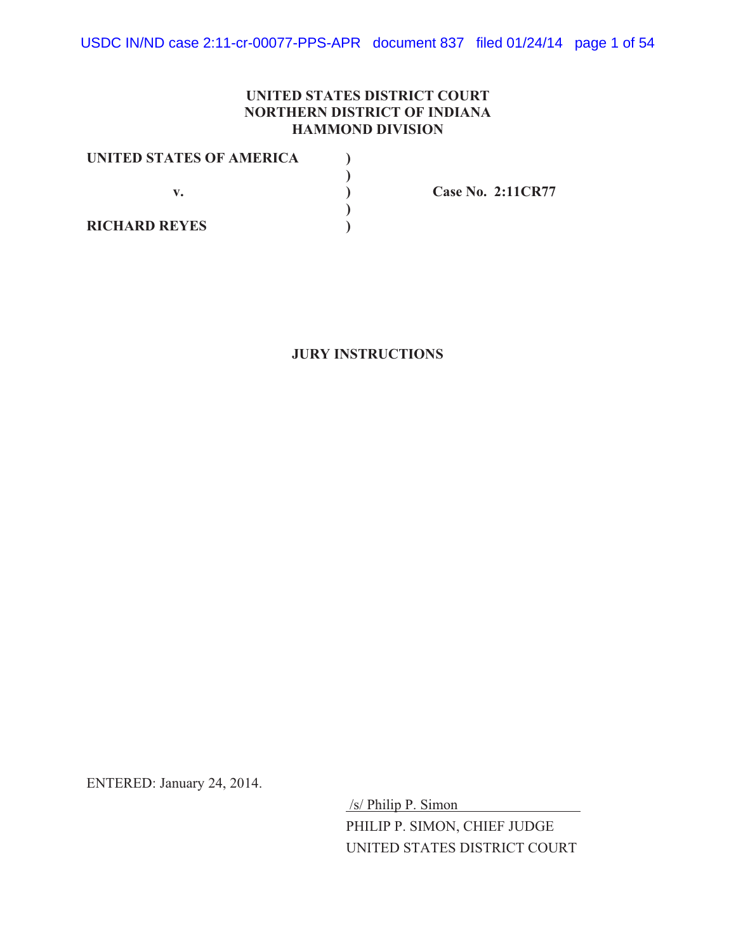# **UNITED STATES DISTRICT COURT NORTHERN DISTRICT OF INDIANA HAMMOND DIVISION**

| UNITED STATES OF AMERICA |  |
|--------------------------|--|
|                          |  |
|                          |  |
|                          |  |
| <b>RICHARD REYES</b>     |  |

**v. ) Case No. 2:11CR77**

**JURY INSTRUCTIONS**

ENTERED: January 24, 2014.

 /s/ Philip P. Simon PHILIP P. SIMON, CHIEF JUDGE UNITED STATES DISTRICT COURT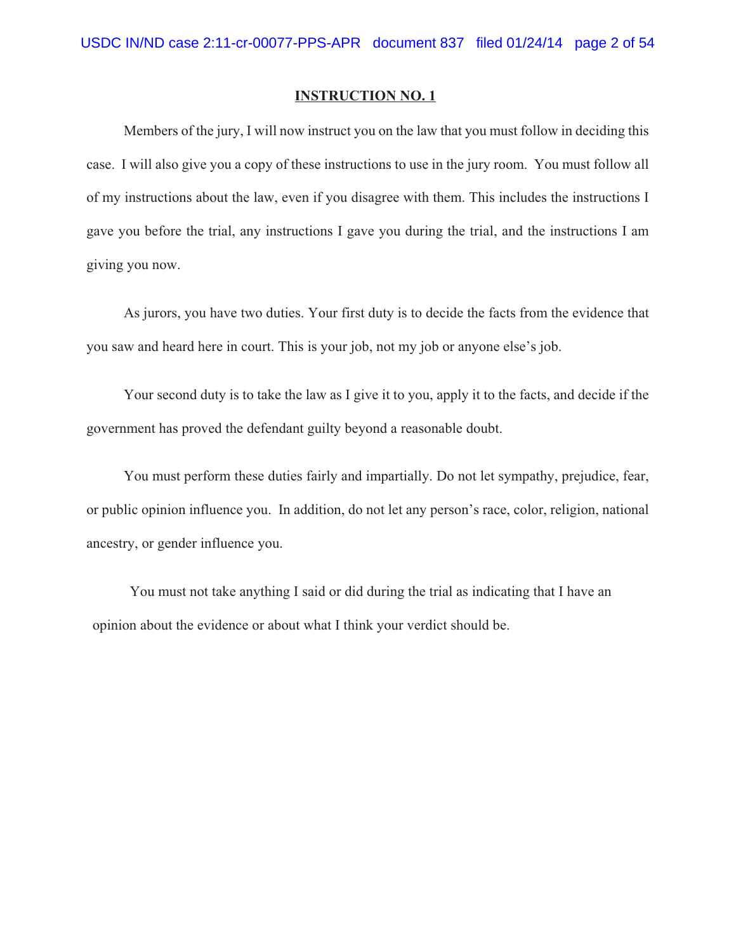Members of the jury, I will now instruct you on the law that you must follow in deciding this case. I will also give you a copy of these instructions to use in the jury room. You must follow all of my instructions about the law, even if you disagree with them. This includes the instructions I gave you before the trial, any instructions I gave you during the trial, and the instructions I am giving you now.

As jurors, you have two duties. Your first duty is to decide the facts from the evidence that you saw and heard here in court. This is your job, not my job or anyone else's job.

Your second duty is to take the law as I give it to you, apply it to the facts, and decide if the government has proved the defendant guilty beyond a reasonable doubt.

You must perform these duties fairly and impartially. Do not let sympathy, prejudice, fear, or public opinion influence you. In addition, do not let any person's race, color, religion, national ancestry, or gender influence you.

You must not take anything I said or did during the trial as indicating that I have an opinion about the evidence or about what I think your verdict should be.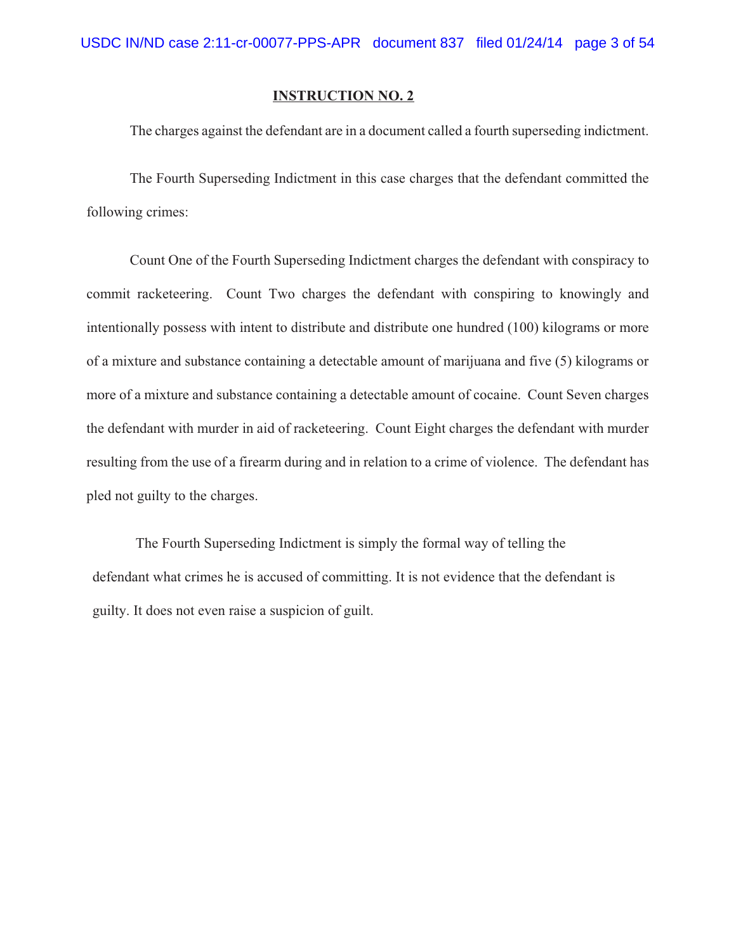The charges against the defendant are in a document called a fourth superseding indictment.

The Fourth Superseding Indictment in this case charges that the defendant committed the following crimes:

Count One of the Fourth Superseding Indictment charges the defendant with conspiracy to commit racketeering. Count Two charges the defendant with conspiring to knowingly and intentionally possess with intent to distribute and distribute one hundred (100) kilograms or more of a mixture and substance containing a detectable amount of marijuana and five (5) kilograms or more of a mixture and substance containing a detectable amount of cocaine. Count Seven charges the defendant with murder in aid of racketeering. Count Eight charges the defendant with murder resulting from the use of a firearm during and in relation to a crime of violence. The defendant has pled not guilty to the charges.

The Fourth Superseding Indictment is simply the formal way of telling the defendant what crimes he is accused of committing. It is not evidence that the defendant is guilty. It does not even raise a suspicion of guilt.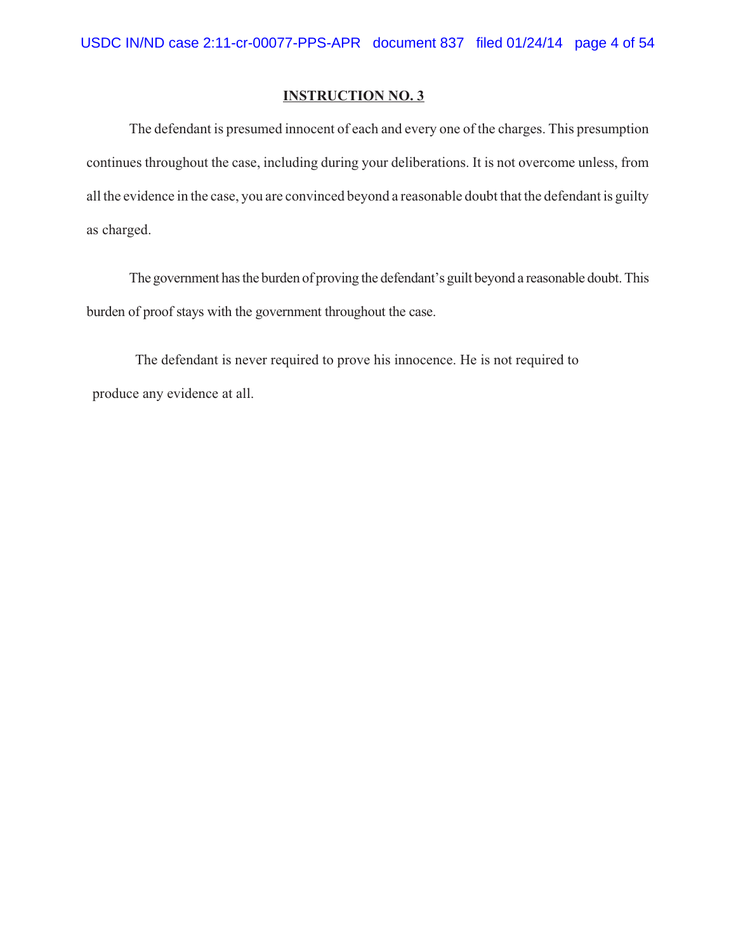The defendant is presumed innocent of each and every one of the charges. This presumption continues throughout the case, including during your deliberations. It is not overcome unless, from all the evidence in the case, you are convinced beyond a reasonable doubt that the defendant is guilty as charged.

The government has the burden of proving the defendant's guilt beyond a reasonable doubt. This burden of proof stays with the government throughout the case.

The defendant is never required to prove his innocence. He is not required to produce any evidence at all.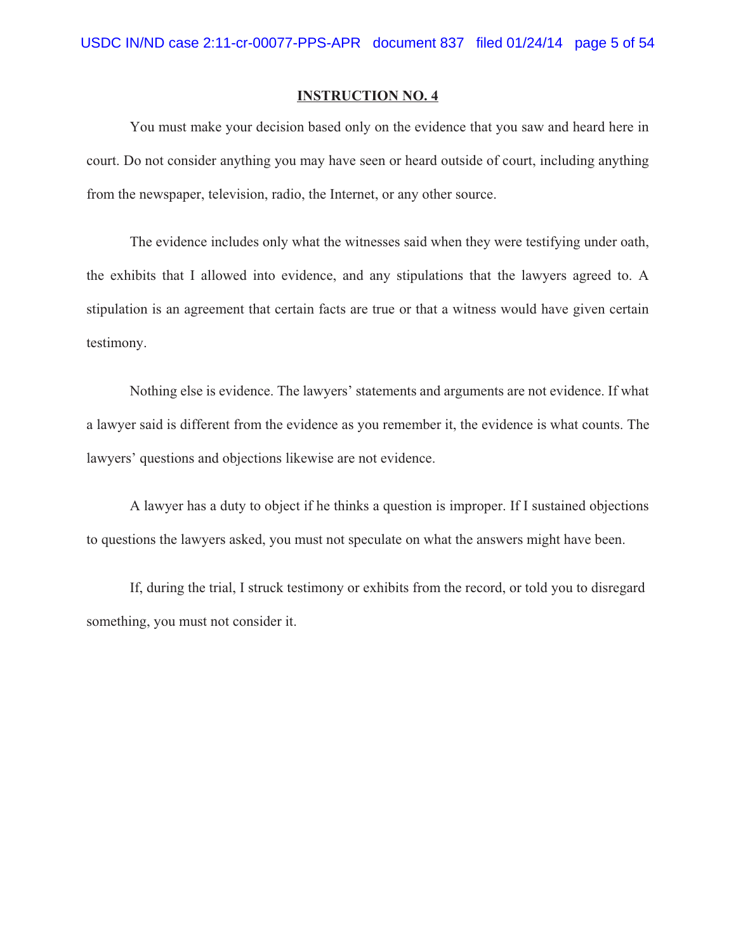You must make your decision based only on the evidence that you saw and heard here in court. Do not consider anything you may have seen or heard outside of court, including anything from the newspaper, television, radio, the Internet, or any other source.

The evidence includes only what the witnesses said when they were testifying under oath, the exhibits that I allowed into evidence, and any stipulations that the lawyers agreed to. A stipulation is an agreement that certain facts are true or that a witness would have given certain testimony.

Nothing else is evidence. The lawyers' statements and arguments are not evidence. If what a lawyer said is different from the evidence as you remember it, the evidence is what counts. The lawyers' questions and objections likewise are not evidence.

A lawyer has a duty to object if he thinks a question is improper. If I sustained objections to questions the lawyers asked, you must not speculate on what the answers might have been.

If, during the trial, I struck testimony or exhibits from the record, or told you to disregard something, you must not consider it.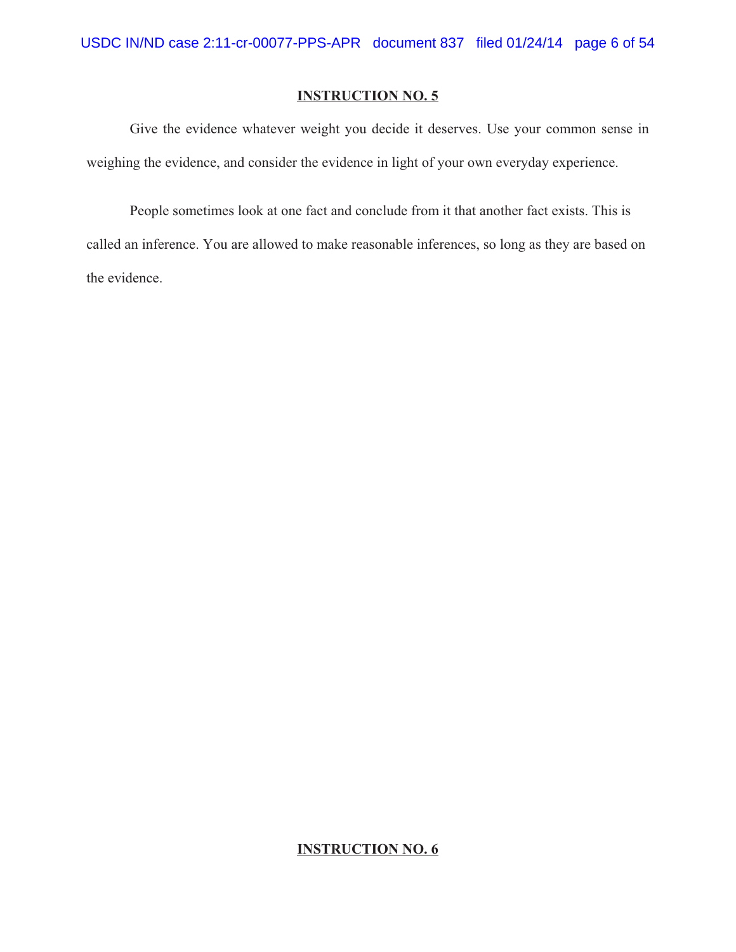Give the evidence whatever weight you decide it deserves. Use your common sense in weighing the evidence, and consider the evidence in light of your own everyday experience.

People sometimes look at one fact and conclude from it that another fact exists. This is called an inference. You are allowed to make reasonable inferences, so long as they are based on the evidence.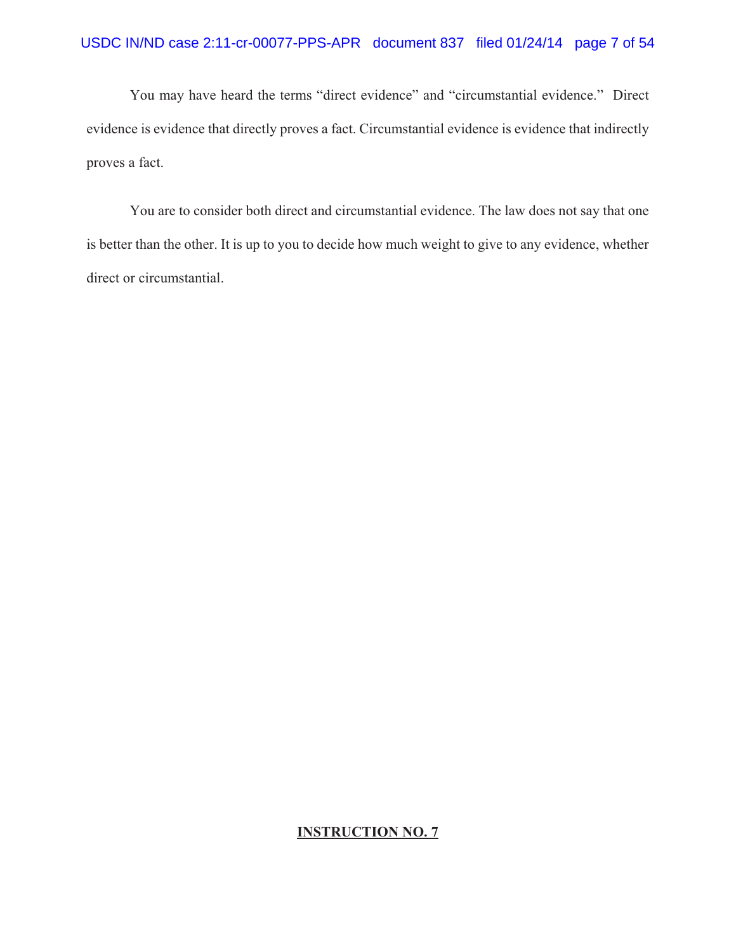You may have heard the terms "direct evidence" and "circumstantial evidence." Direct evidence is evidence that directly proves a fact. Circumstantial evidence is evidence that indirectly proves a fact.

You are to consider both direct and circumstantial evidence. The law does not say that one is better than the other. It is up to you to decide how much weight to give to any evidence, whether direct or circumstantial.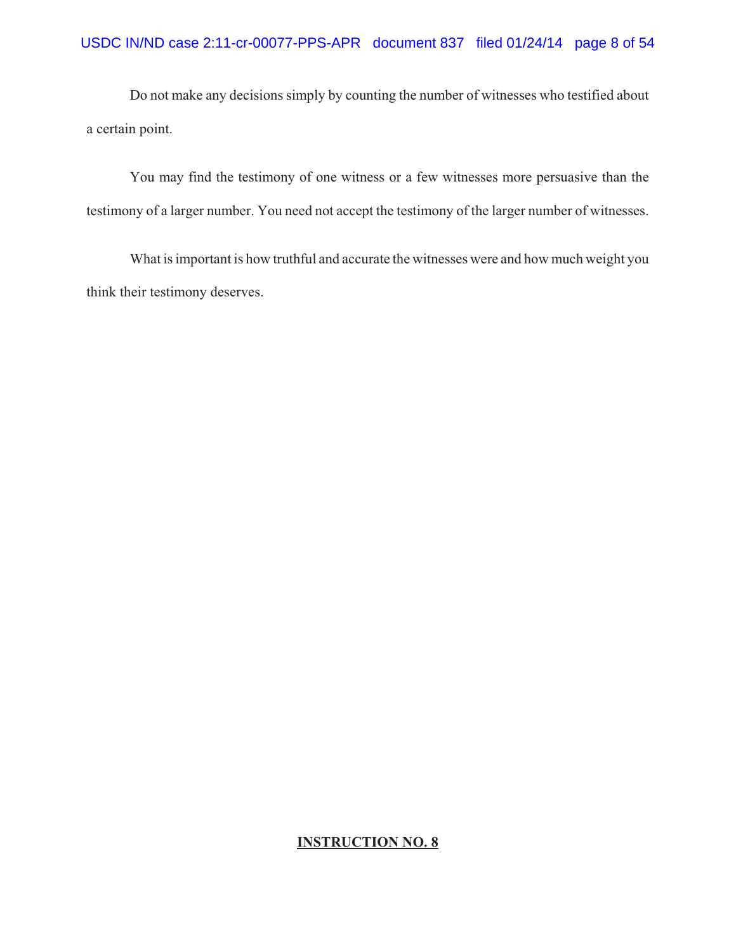Do not make any decisions simply by counting the number of witnesses who testified about a certain point.

You may find the testimony of one witness or a few witnesses more persuasive than the testimony of a larger number. You need not accept the testimony of the larger number of witnesses.

What is important is how truthful and accurate the witnesses were and how much weight you think their testimony deserves.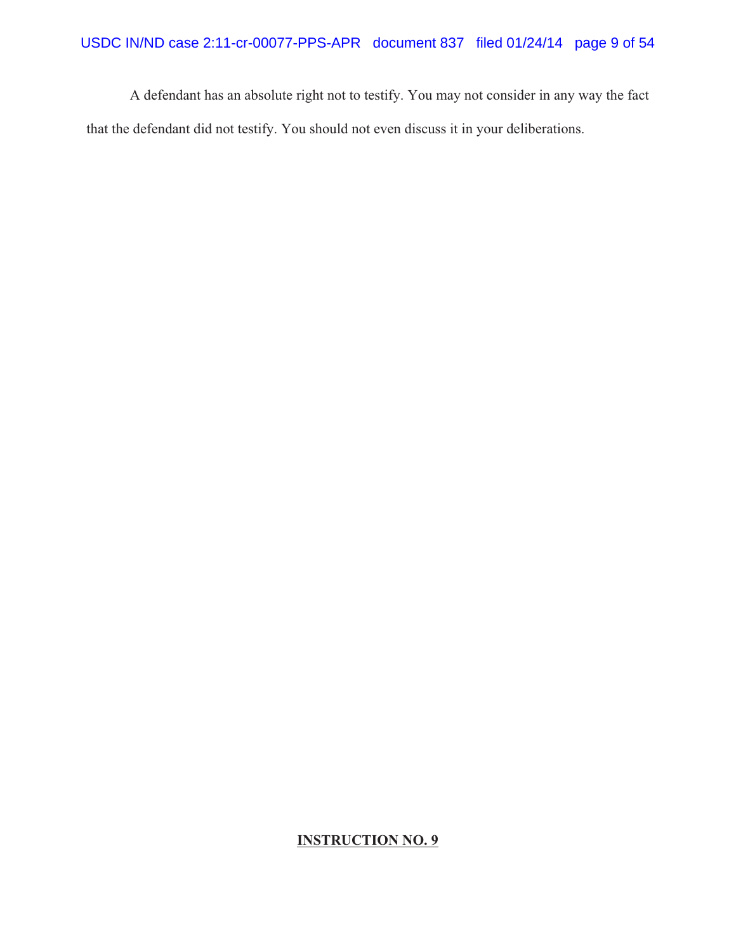A defendant has an absolute right not to testify. You may not consider in any way the fact that the defendant did not testify. You should not even discuss it in your deliberations.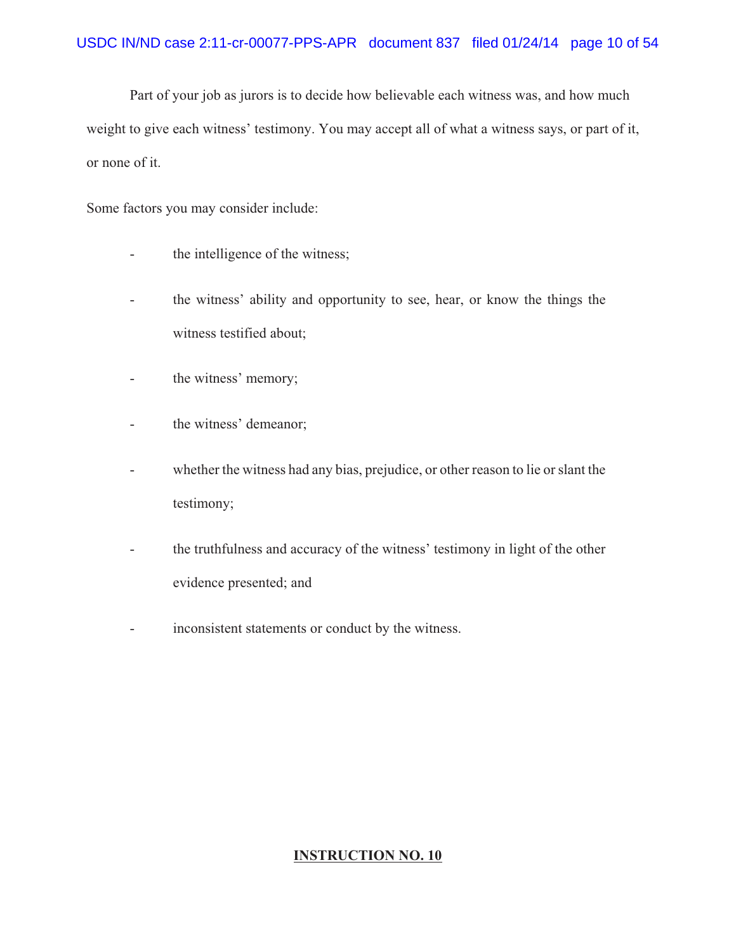Part of your job as jurors is to decide how believable each witness was, and how much weight to give each witness' testimony. You may accept all of what a witness says, or part of it, or none of it.

Some factors you may consider include:

- the intelligence of the witness;
- the witness' ability and opportunity to see, hear, or know the things the witness testified about;
- the witness' memory;
- the witness' demeanor;
- whether the witness had any bias, prejudice, or other reason to lie or slant the testimony;
- the truthfulness and accuracy of the witness' testimony in light of the other evidence presented; and
- inconsistent statements or conduct by the witness.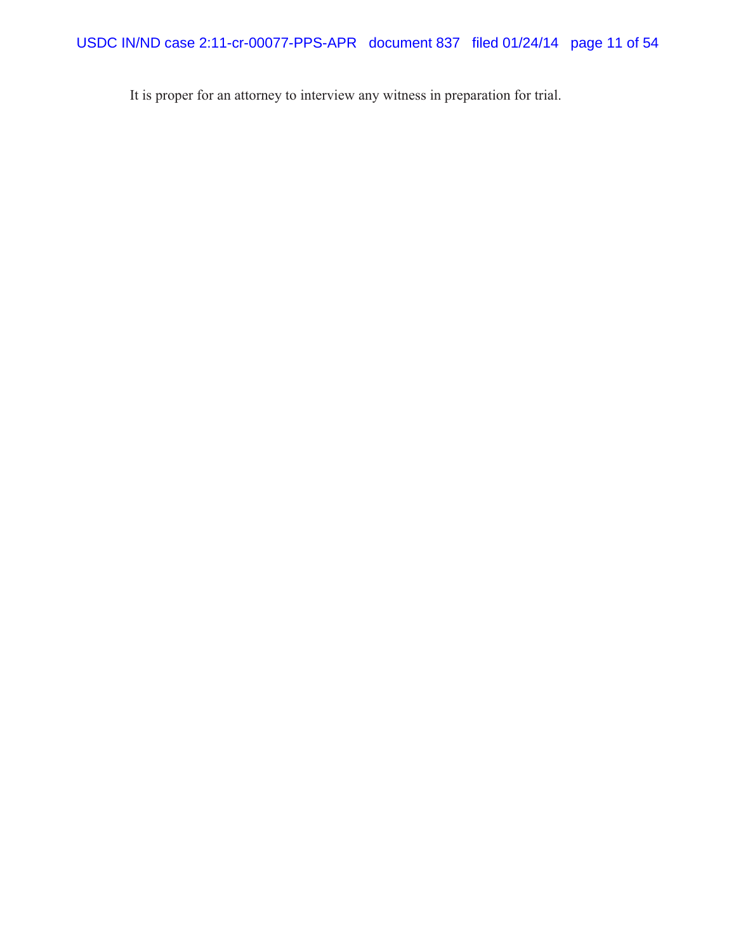It is proper for an attorney to interview any witness in preparation for trial.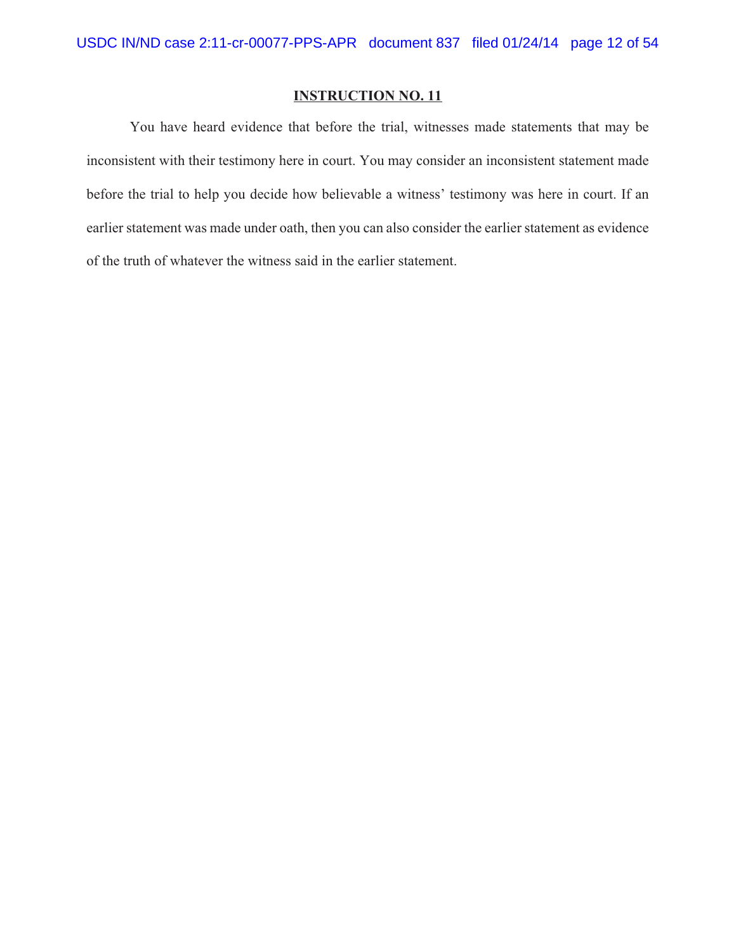You have heard evidence that before the trial, witnesses made statements that may be inconsistent with their testimony here in court. You may consider an inconsistent statement made before the trial to help you decide how believable a witness' testimony was here in court. If an earlier statement was made under oath, then you can also consider the earlier statement as evidence of the truth of whatever the witness said in the earlier statement.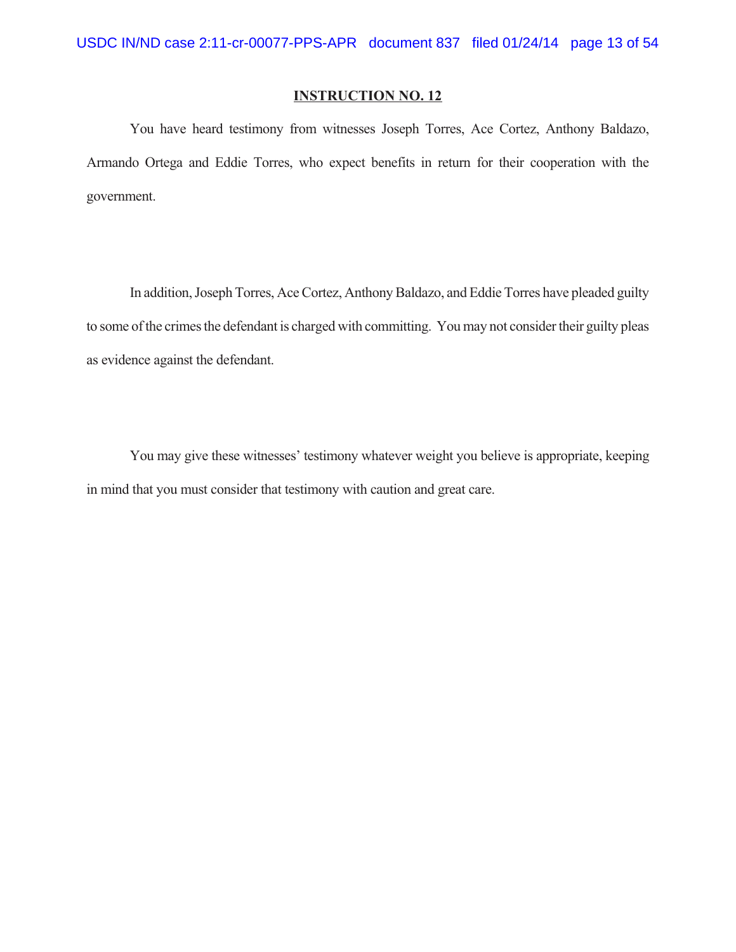You have heard testimony from witnesses Joseph Torres, Ace Cortez, Anthony Baldazo, Armando Ortega and Eddie Torres, who expect benefits in return for their cooperation with the government.

In addition, Joseph Torres, Ace Cortez, Anthony Baldazo, and Eddie Torres have pleaded guilty to some of the crimes the defendant is charged with committing. You may not consider their guilty pleas as evidence against the defendant.

You may give these witnesses' testimony whatever weight you believe is appropriate, keeping in mind that you must consider that testimony with caution and great care.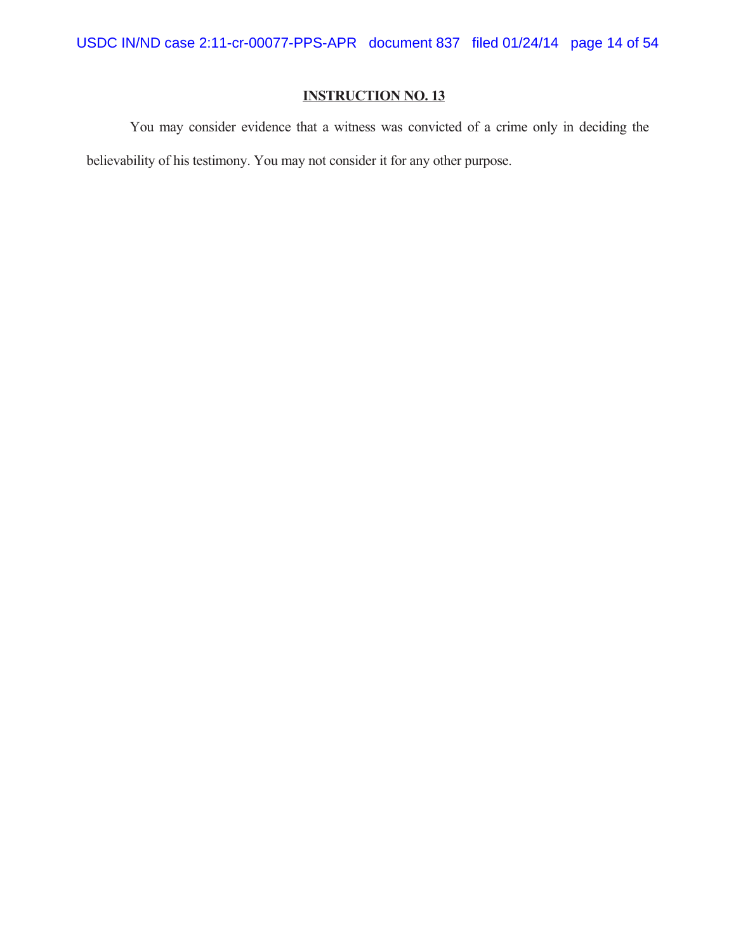You may consider evidence that a witness was convicted of a crime only in deciding the believability of his testimony. You may not consider it for any other purpose.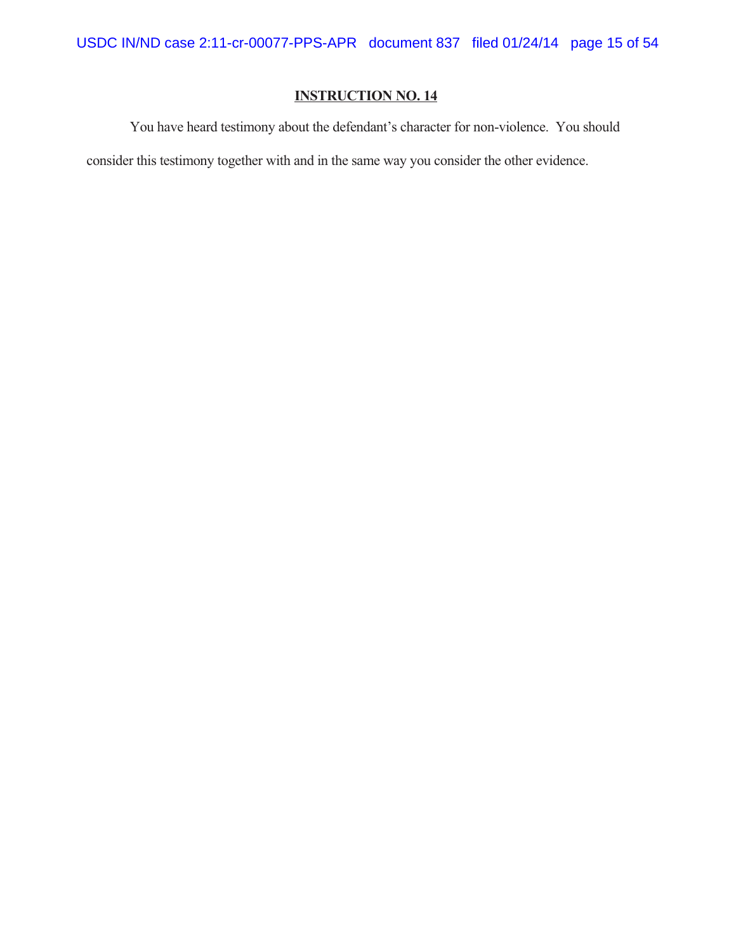You have heard testimony about the defendant's character for non-violence. You should

consider this testimony together with and in the same way you consider the other evidence.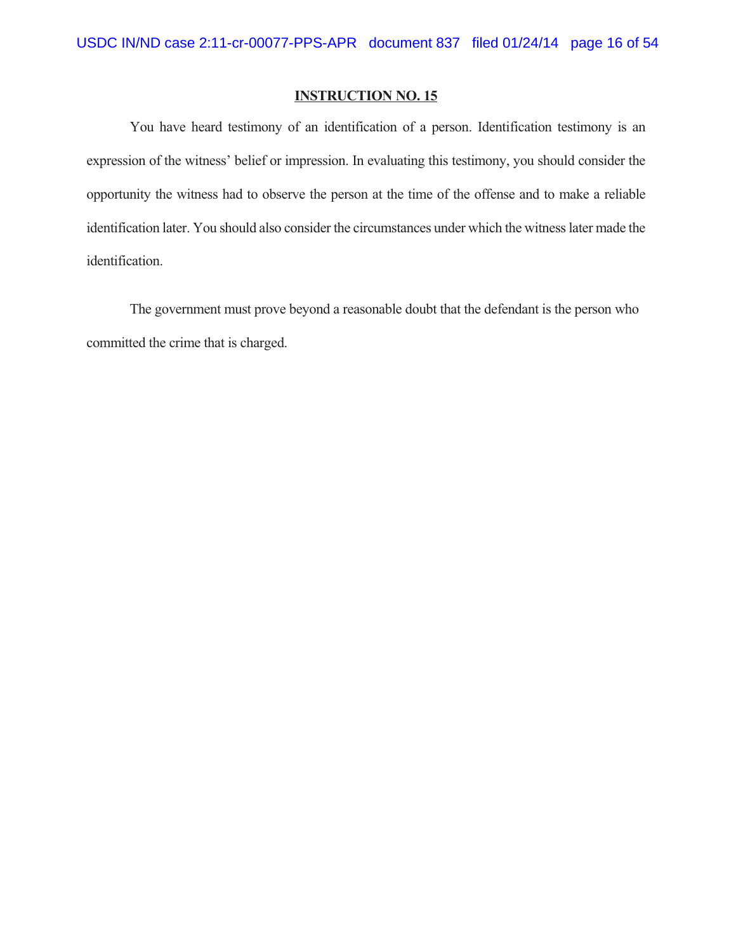You have heard testimony of an identification of a person. Identification testimony is an expression of the witness' belief or impression. In evaluating this testimony, you should consider the opportunity the witness had to observe the person at the time of the offense and to make a reliable identification later. You should also consider the circumstances under which the witness later made the identification.

The government must prove beyond a reasonable doubt that the defendant is the person who committed the crime that is charged.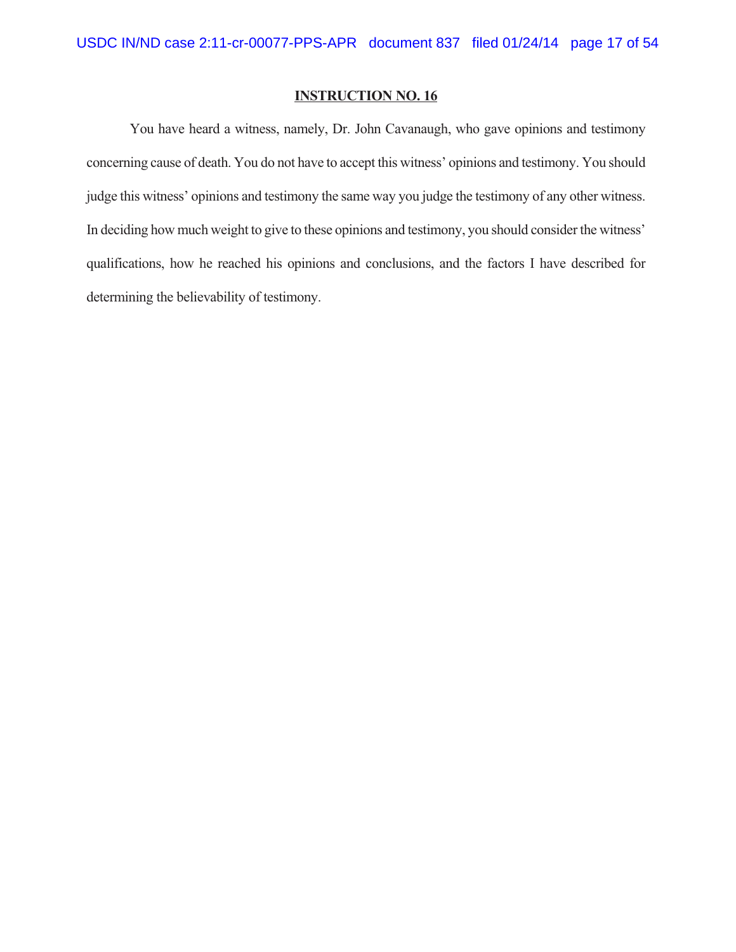You have heard a witness, namely, Dr. John Cavanaugh, who gave opinions and testimony concerning cause of death. You do not have to accept this witness' opinions and testimony. You should judge this witness' opinions and testimony the same way you judge the testimony of any other witness. In deciding how much weight to give to these opinions and testimony, you should consider the witness' qualifications, how he reached his opinions and conclusions, and the factors I have described for determining the believability of testimony.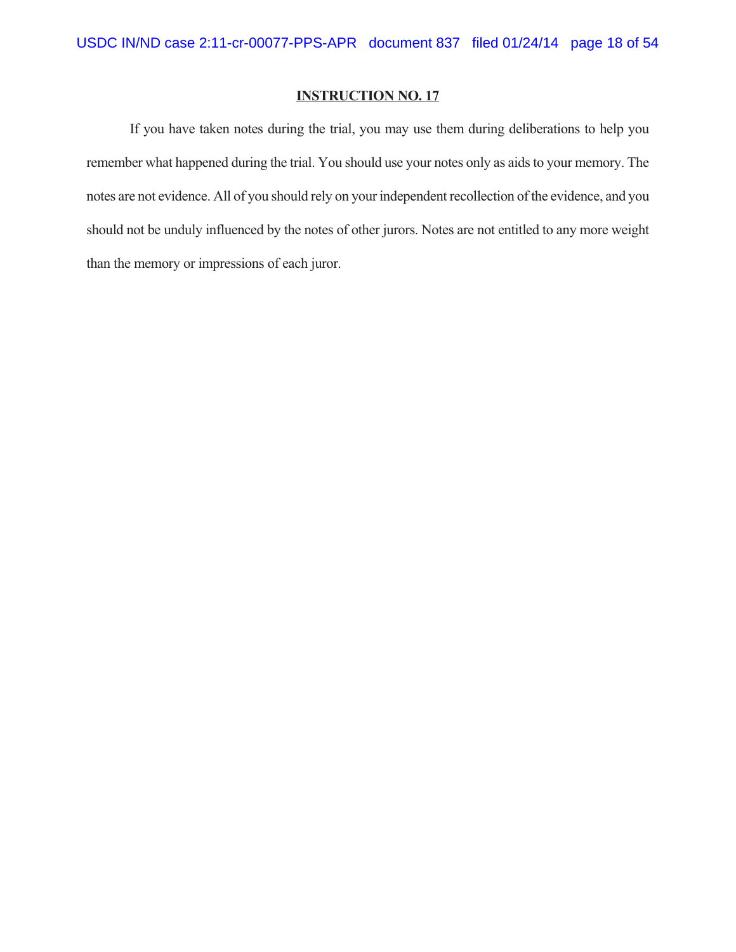If you have taken notes during the trial, you may use them during deliberations to help you remember what happened during the trial. You should use your notes only as aids to your memory. The notes are not evidence. All of you should rely on your independent recollection of the evidence, and you should not be unduly influenced by the notes of other jurors. Notes are not entitled to any more weight than the memory or impressions of each juror.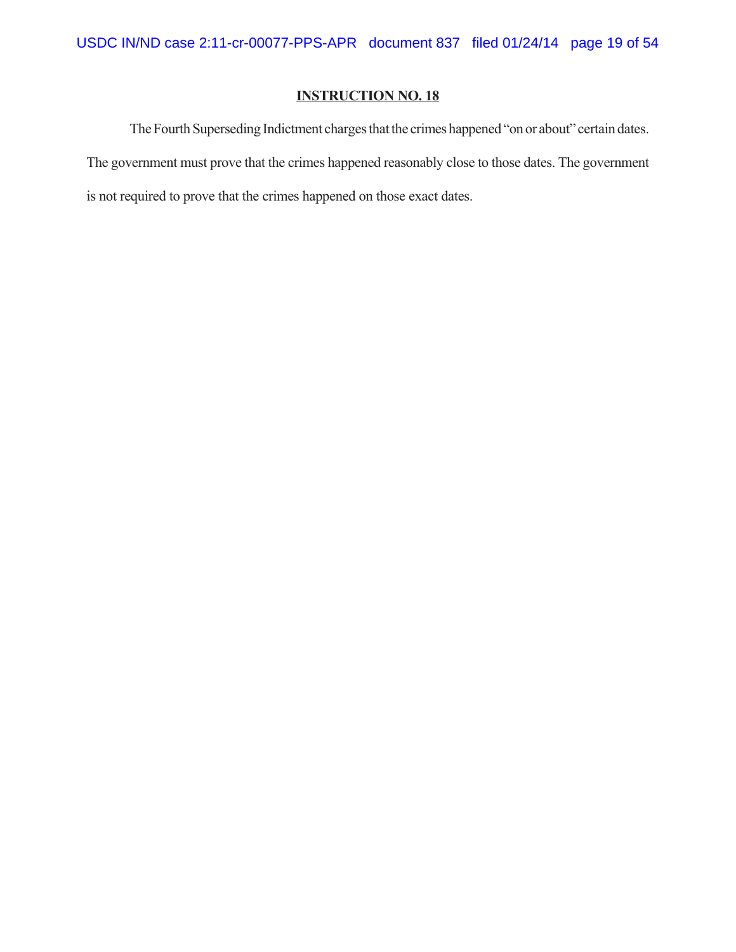The Fourth Superseding Indictment charges that the crimes happened "on or about" certain dates. The government must prove that the crimes happened reasonably close to those dates. The government is not required to prove that the crimes happened on those exact dates.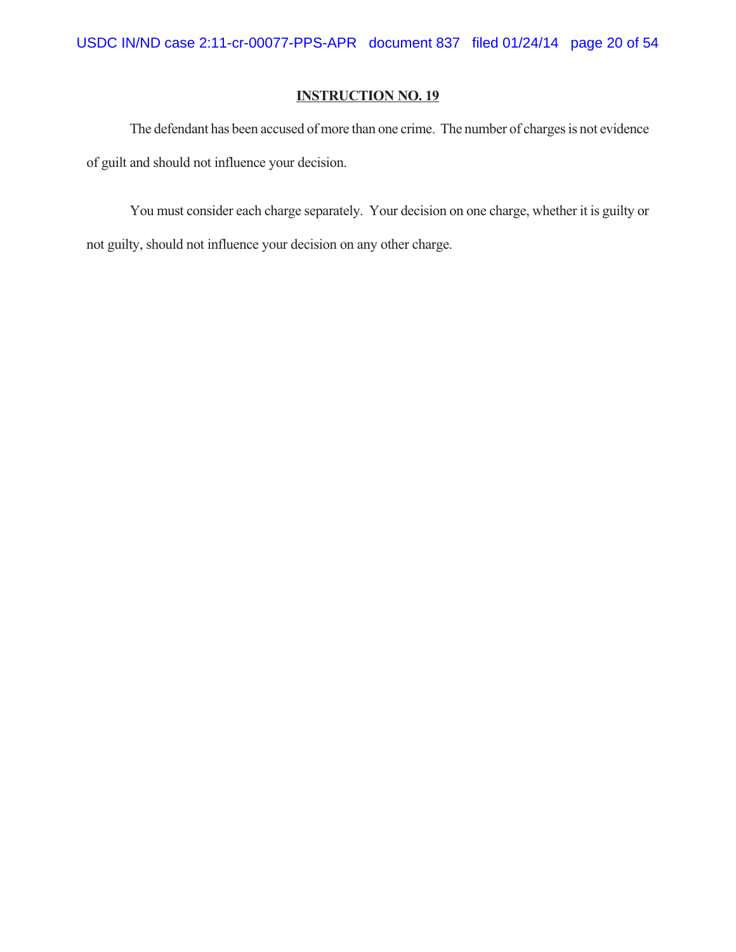The defendant has been accused of more than one crime. The number of charges is not evidence of guilt and should not influence your decision.

You must consider each charge separately. Your decision on one charge, whether it is guilty or not guilty, should not influence your decision on any other charge.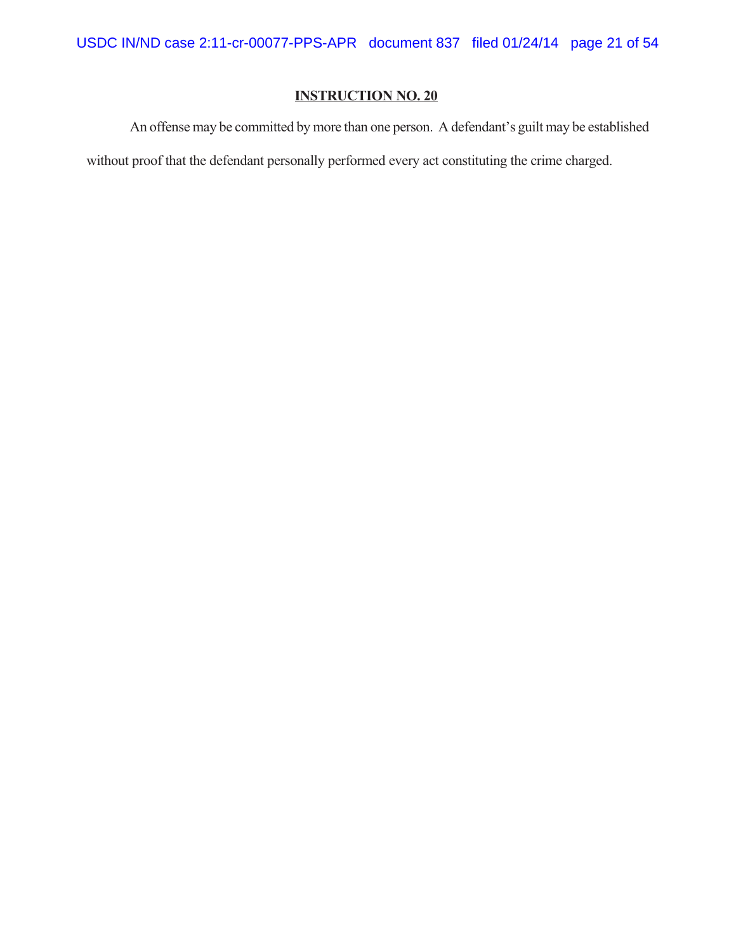An offense may be committed by more than one person. A defendant's guilt may be established

without proof that the defendant personally performed every act constituting the crime charged.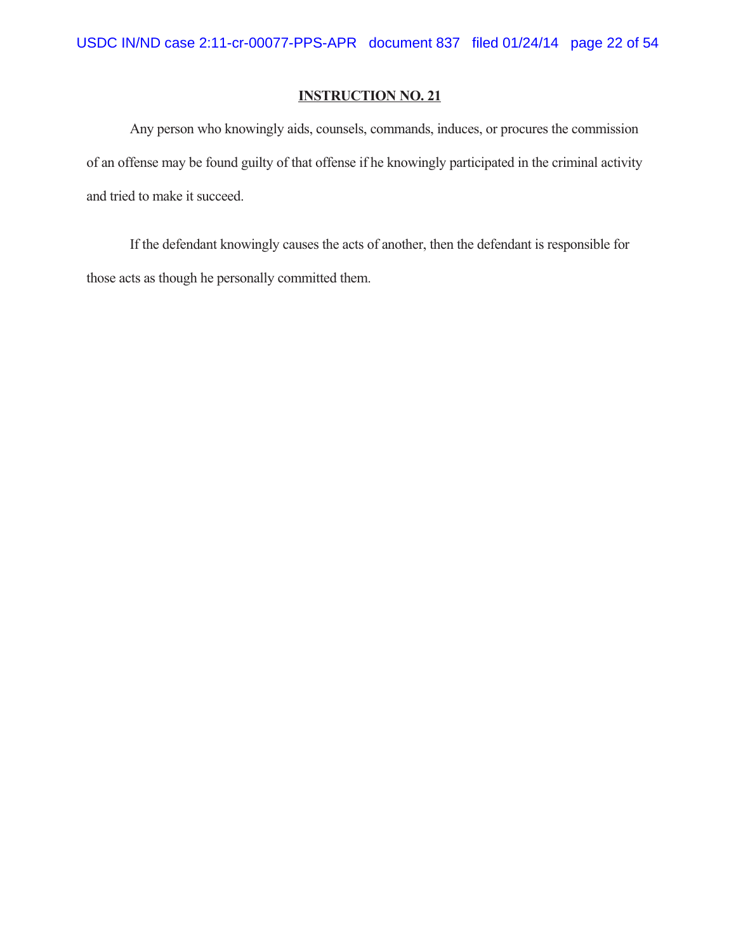Any person who knowingly aids, counsels, commands, induces, or procures the commission of an offense may be found guilty of that offense if he knowingly participated in the criminal activity and tried to make it succeed.

If the defendant knowingly causes the acts of another, then the defendant is responsible for those acts as though he personally committed them.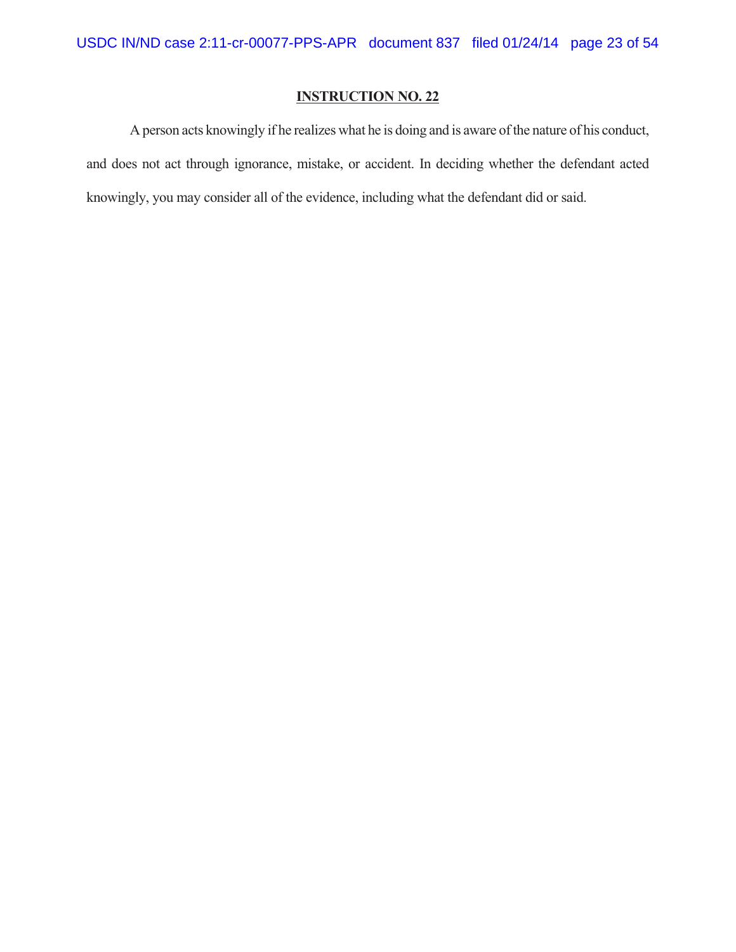A person acts knowingly if he realizes what he is doing and is aware of the nature of his conduct, and does not act through ignorance, mistake, or accident. In deciding whether the defendant acted knowingly, you may consider all of the evidence, including what the defendant did or said.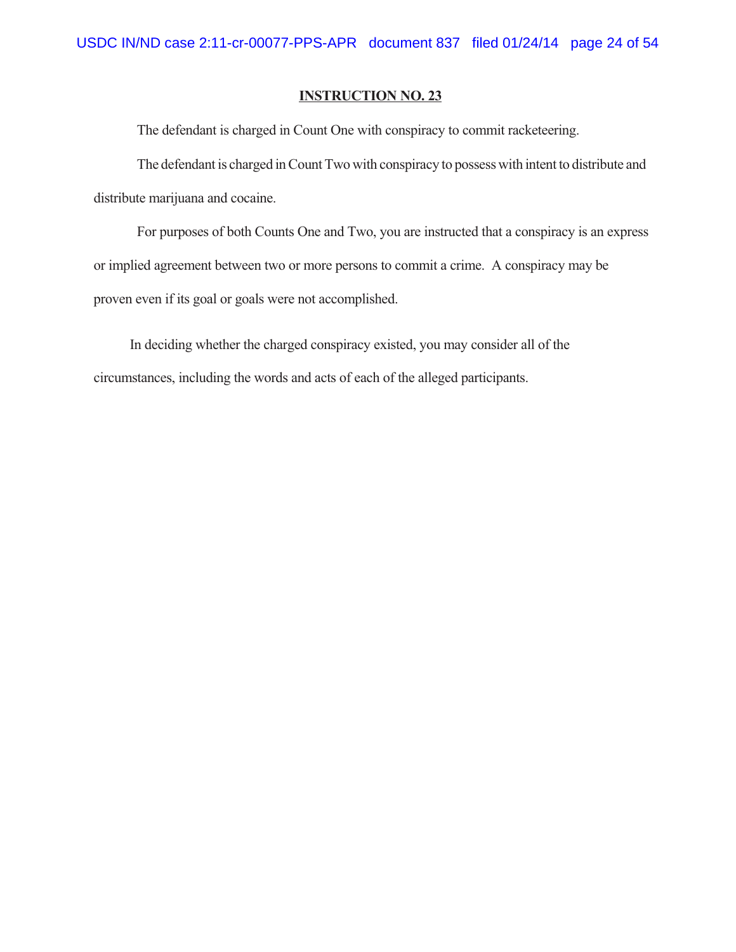The defendant is charged in Count One with conspiracy to commit racketeering.

The defendant is charged in Count Two with conspiracy to possess with intent to distribute and distribute marijuana and cocaine.

For purposes of both Counts One and Two, you are instructed that a conspiracy is an express or implied agreement between two or more persons to commit a crime. A conspiracy may be proven even if its goal or goals were not accomplished.

In deciding whether the charged conspiracy existed, you may consider all of the circumstances, including the words and acts of each of the alleged participants.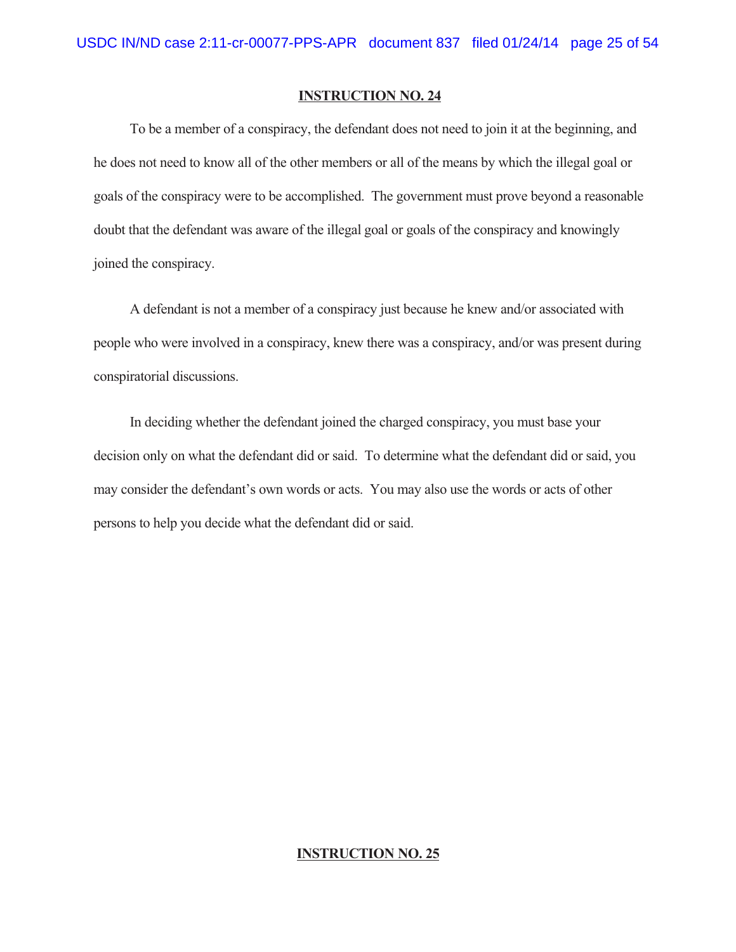To be a member of a conspiracy, the defendant does not need to join it at the beginning, and he does not need to know all of the other members or all of the means by which the illegal goal or goals of the conspiracy were to be accomplished. The government must prove beyond a reasonable doubt that the defendant was aware of the illegal goal or goals of the conspiracy and knowingly joined the conspiracy.

A defendant is not a member of a conspiracy just because he knew and/or associated with people who were involved in a conspiracy, knew there was a conspiracy, and/or was present during conspiratorial discussions.

In deciding whether the defendant joined the charged conspiracy, you must base your decision only on what the defendant did or said. To determine what the defendant did or said, you may consider the defendant's own words or acts. You may also use the words or acts of other persons to help you decide what the defendant did or said.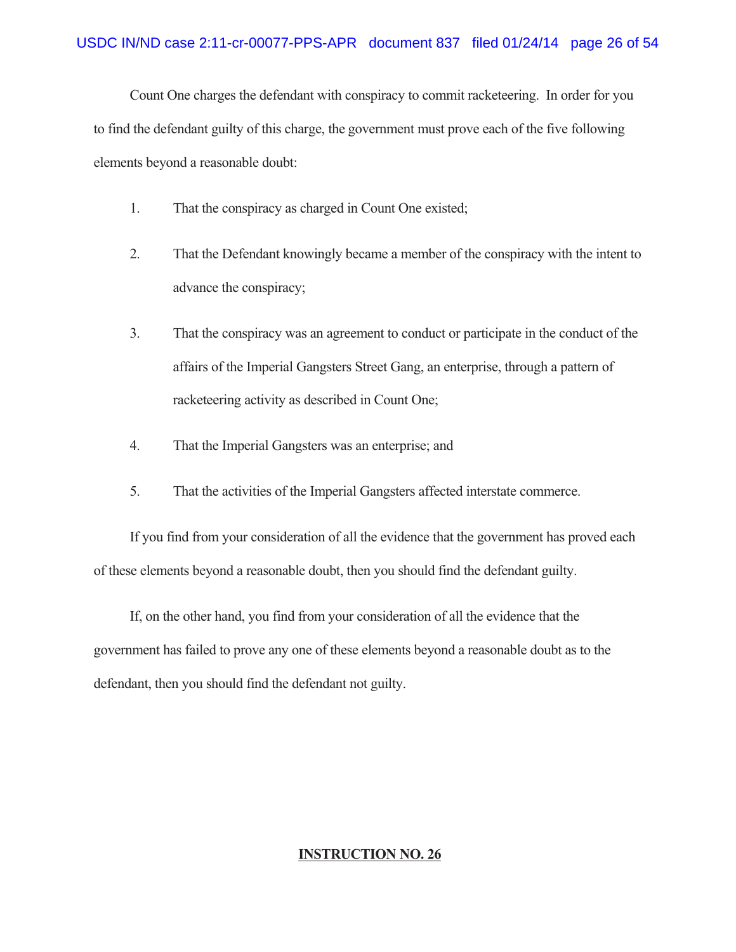Count One charges the defendant with conspiracy to commit racketeering. In order for you to find the defendant guilty of this charge, the government must prove each of the five following elements beyond a reasonable doubt:

- 1. That the conspiracy as charged in Count One existed;
- 2. That the Defendant knowingly became a member of the conspiracy with the intent to advance the conspiracy;
- 3. That the conspiracy was an agreement to conduct or participate in the conduct of the affairs of the Imperial Gangsters Street Gang, an enterprise, through a pattern of racketeering activity as described in Count One;
- 4. That the Imperial Gangsters was an enterprise; and
- 5. That the activities of the Imperial Gangsters affected interstate commerce.

If you find from your consideration of all the evidence that the government has proved each of these elements beyond a reasonable doubt, then you should find the defendant guilty.

If, on the other hand, you find from your consideration of all the evidence that the government has failed to prove any one of these elements beyond a reasonable doubt as to the defendant, then you should find the defendant not guilty.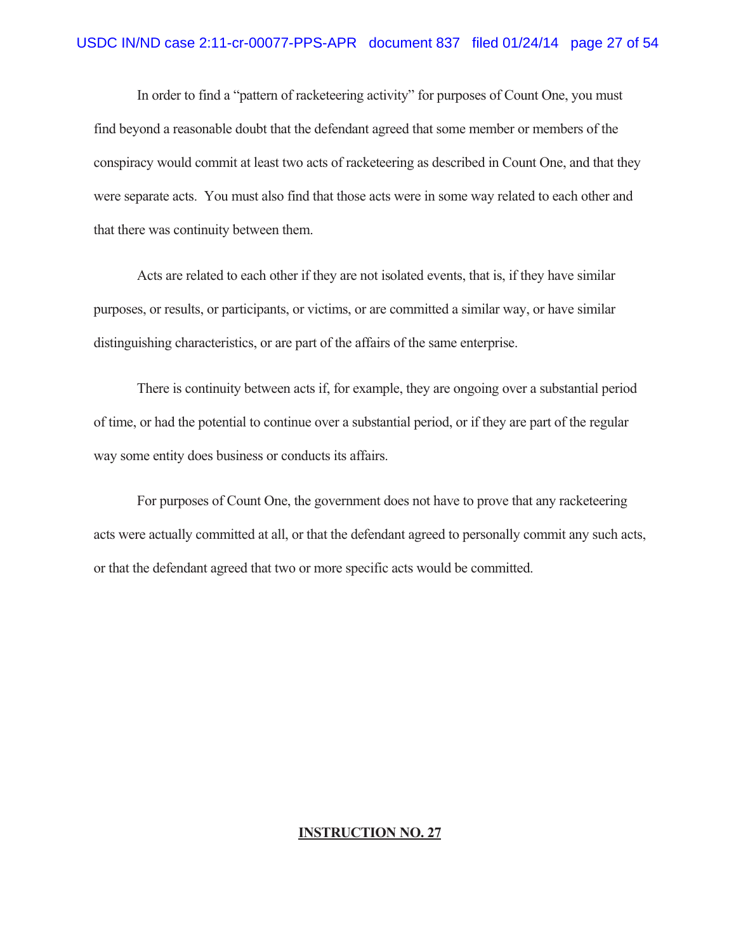In order to find a "pattern of racketeering activity" for purposes of Count One, you must find beyond a reasonable doubt that the defendant agreed that some member or members of the conspiracy would commit at least two acts of racketeering as described in Count One, and that they were separate acts. You must also find that those acts were in some way related to each other and that there was continuity between them.

Acts are related to each other if they are not isolated events, that is, if they have similar purposes, or results, or participants, or victims, or are committed a similar way, or have similar distinguishing characteristics, or are part of the affairs of the same enterprise.

There is continuity between acts if, for example, they are ongoing over a substantial period of time, or had the potential to continue over a substantial period, or if they are part of the regular way some entity does business or conducts its affairs.

For purposes of Count One, the government does not have to prove that any racketeering acts were actually committed at all, or that the defendant agreed to personally commit any such acts, or that the defendant agreed that two or more specific acts would be committed.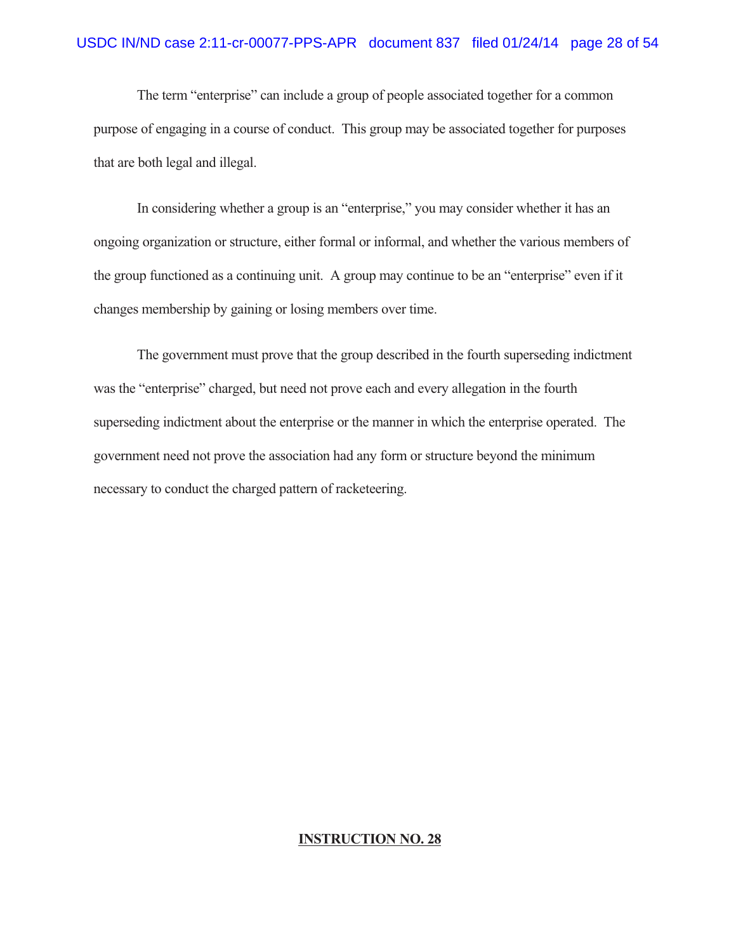The term "enterprise" can include a group of people associated together for a common purpose of engaging in a course of conduct. This group may be associated together for purposes that are both legal and illegal.

In considering whether a group is an "enterprise," you may consider whether it has an ongoing organization or structure, either formal or informal, and whether the various members of the group functioned as a continuing unit. A group may continue to be an "enterprise" even if it changes membership by gaining or losing members over time.

The government must prove that the group described in the fourth superseding indictment was the "enterprise" charged, but need not prove each and every allegation in the fourth superseding indictment about the enterprise or the manner in which the enterprise operated. The government need not prove the association had any form or structure beyond the minimum necessary to conduct the charged pattern of racketeering.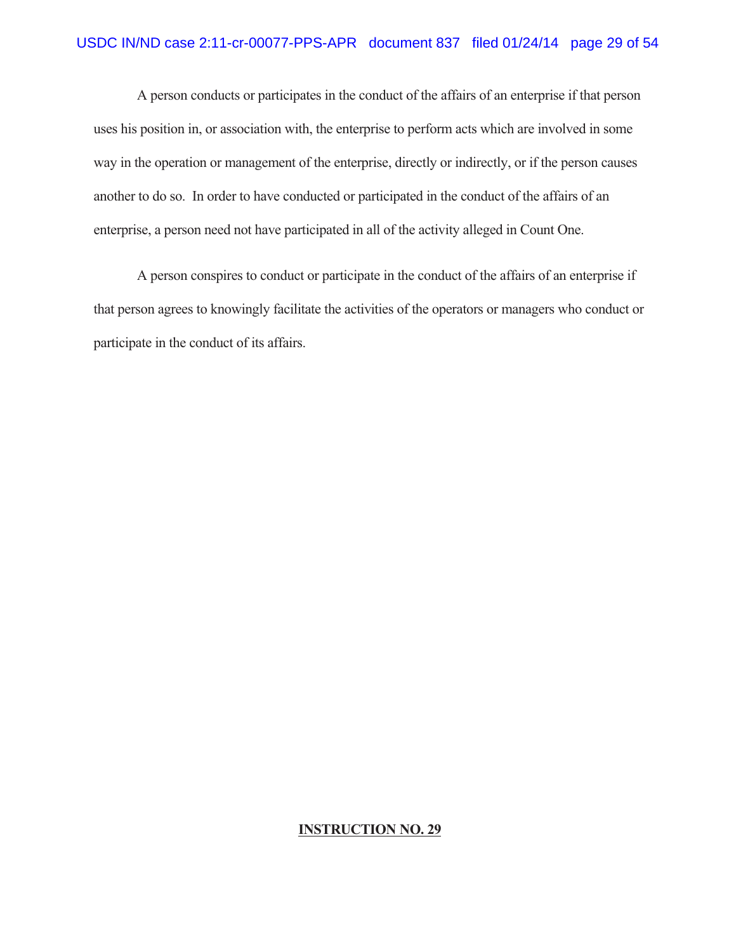A person conducts or participates in the conduct of the affairs of an enterprise if that person uses his position in, or association with, the enterprise to perform acts which are involved in some way in the operation or management of the enterprise, directly or indirectly, or if the person causes another to do so. In order to have conducted or participated in the conduct of the affairs of an enterprise, a person need not have participated in all of the activity alleged in Count One.

A person conspires to conduct or participate in the conduct of the affairs of an enterprise if that person agrees to knowingly facilitate the activities of the operators or managers who conduct or participate in the conduct of its affairs.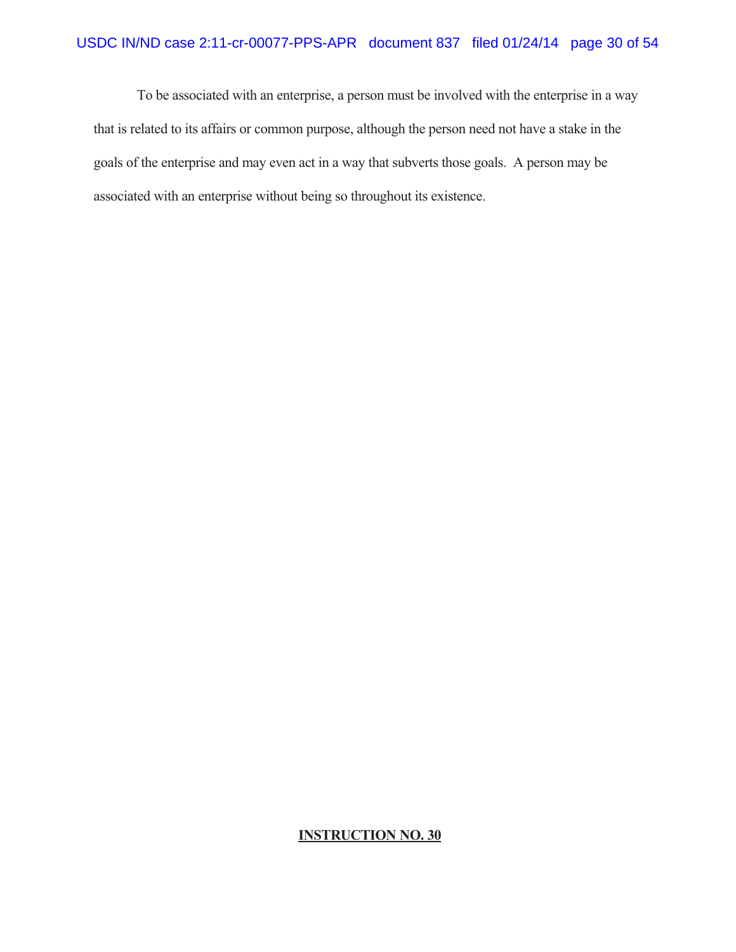To be associated with an enterprise, a person must be involved with the enterprise in a way that is related to its affairs or common purpose, although the person need not have a stake in the goals of the enterprise and may even act in a way that subverts those goals. A person may be associated with an enterprise without being so throughout its existence.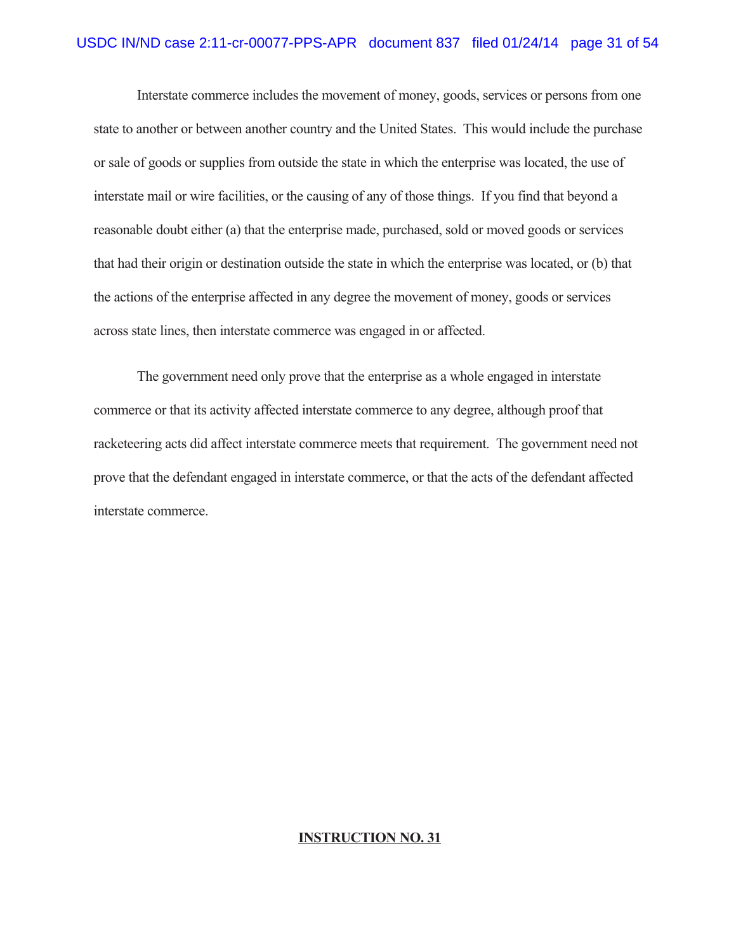Interstate commerce includes the movement of money, goods, services or persons from one state to another or between another country and the United States. This would include the purchase or sale of goods or supplies from outside the state in which the enterprise was located, the use of interstate mail or wire facilities, or the causing of any of those things. If you find that beyond a reasonable doubt either (a) that the enterprise made, purchased, sold or moved goods or services that had their origin or destination outside the state in which the enterprise was located, or (b) that the actions of the enterprise affected in any degree the movement of money, goods or services across state lines, then interstate commerce was engaged in or affected.

The government need only prove that the enterprise as a whole engaged in interstate commerce or that its activity affected interstate commerce to any degree, although proof that racketeering acts did affect interstate commerce meets that requirement. The government need not prove that the defendant engaged in interstate commerce, or that the acts of the defendant affected interstate commerce.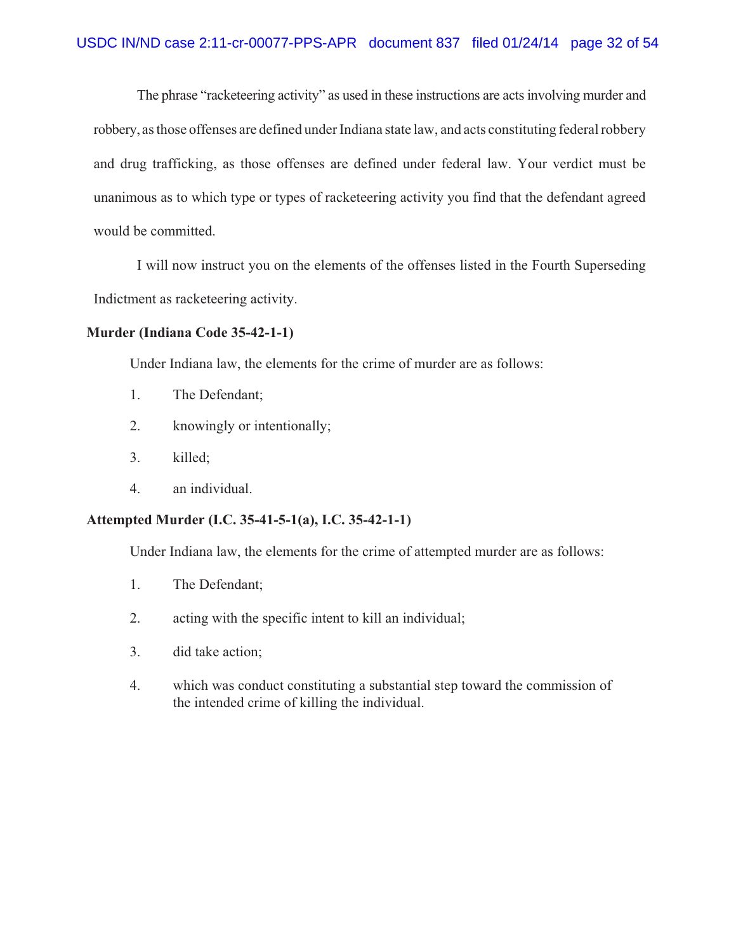The phrase "racketeering activity" as used in these instructions are acts involving murder and robbery, as those offenses are defined under Indiana state law, and acts constituting federal robbery and drug trafficking, as those offenses are defined under federal law. Your verdict must be unanimous as to which type or types of racketeering activity you find that the defendant agreed would be committed.

I will now instruct you on the elements of the offenses listed in the Fourth Superseding Indictment as racketeering activity.

### **Murder (Indiana Code 35-42-1-1)**

Under Indiana law, the elements for the crime of murder are as follows:

- 1. The Defendant;
- 2. knowingly or intentionally;
- 3. killed;
- 4. an individual.

#### **Attempted Murder (I.C. 35-41-5-1(a), I.C. 35-42-1-1)**

Under Indiana law, the elements for the crime of attempted murder are as follows:

- 1. The Defendant;
- 2. acting with the specific intent to kill an individual;
- 3. did take action;
- 4. which was conduct constituting a substantial step toward the commission of the intended crime of killing the individual.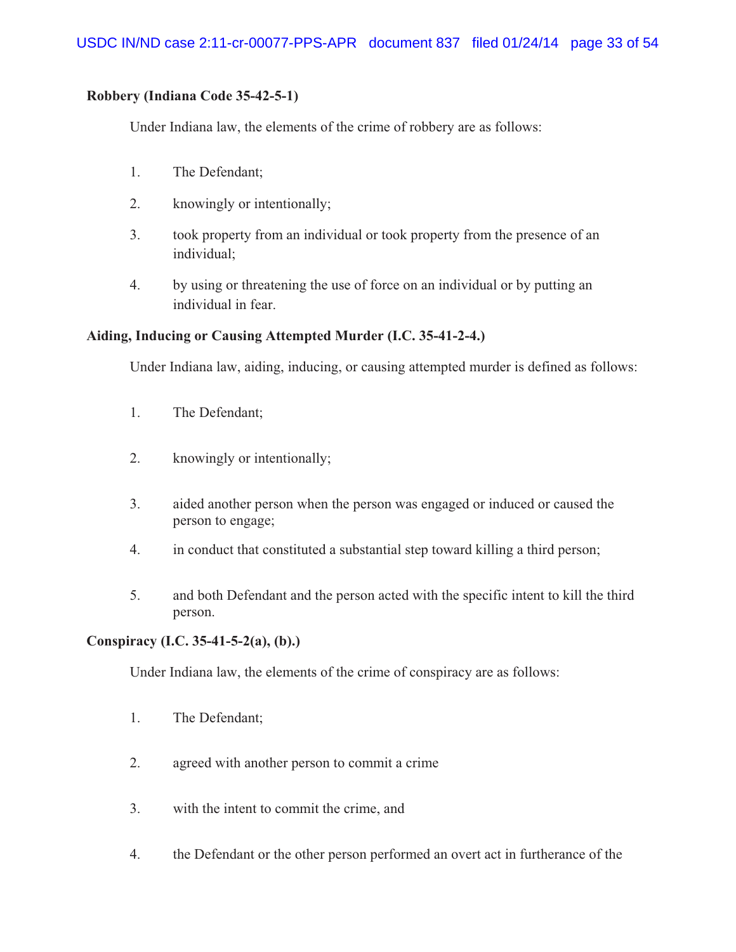## **Robbery (Indiana Code 35-42-5-1)**

Under Indiana law, the elements of the crime of robbery are as follows:

- 1. The Defendant;
- 2. knowingly or intentionally;
- 3. took property from an individual or took property from the presence of an individual;
- 4. by using or threatening the use of force on an individual or by putting an individual in fear.

## **Aiding, Inducing or Causing Attempted Murder (I.C. 35-41-2-4.)**

Under Indiana law, aiding, inducing, or causing attempted murder is defined as follows:

- 1. The Defendant;
- 2. knowingly or intentionally;
- 3. aided another person when the person was engaged or induced or caused the person to engage;
- 4. in conduct that constituted a substantial step toward killing a third person;
- 5. and both Defendant and the person acted with the specific intent to kill the third person.

## **Conspiracy (I.C. 35-41-5-2(a), (b).)**

Under Indiana law, the elements of the crime of conspiracy are as follows:

- 1. The Defendant;
- 2. agreed with another person to commit a crime
- 3. with the intent to commit the crime, and
- 4. the Defendant or the other person performed an overt act in furtherance of the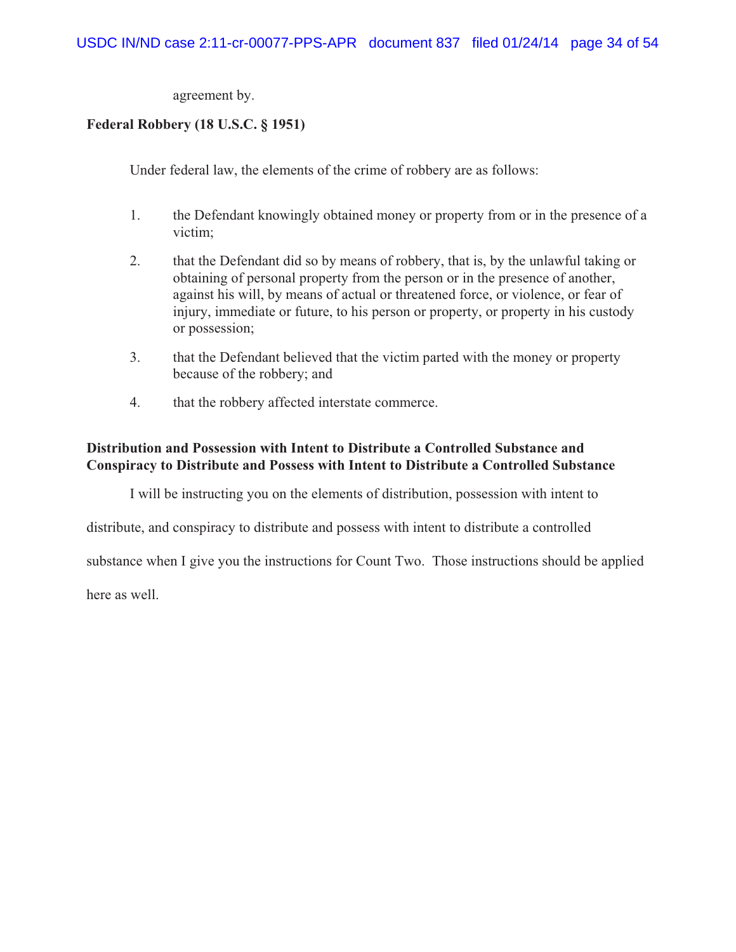agreement by.

## **Federal Robbery (18 U.S.C. § 1951)**

Under federal law, the elements of the crime of robbery are as follows:

- 1. the Defendant knowingly obtained money or property from or in the presence of a victim;
- 2. that the Defendant did so by means of robbery, that is, by the unlawful taking or obtaining of personal property from the person or in the presence of another, against his will, by means of actual or threatened force, or violence, or fear of injury, immediate or future, to his person or property, or property in his custody or possession;
- 3. that the Defendant believed that the victim parted with the money or property because of the robbery; and
- 4. that the robbery affected interstate commerce.

## **Distribution and Possession with Intent to Distribute a Controlled Substance and Conspiracy to Distribute and Possess with Intent to Distribute a Controlled Substance**

I will be instructing you on the elements of distribution, possession with intent to

distribute, and conspiracy to distribute and possess with intent to distribute a controlled

substance when I give you the instructions for Count Two. Those instructions should be applied

here as well.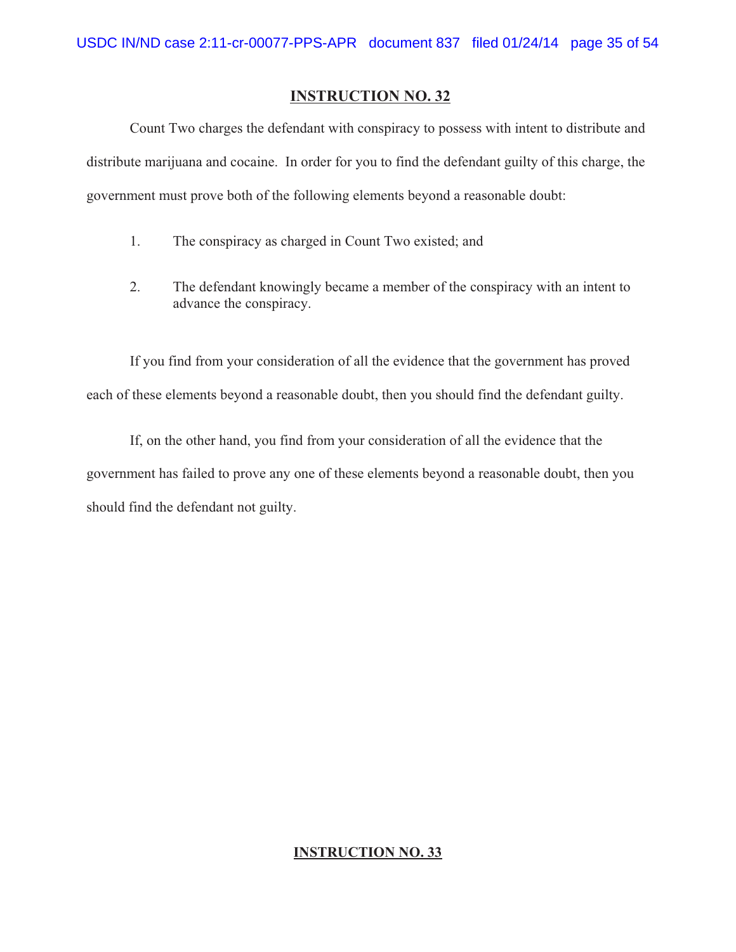Count Two charges the defendant with conspiracy to possess with intent to distribute and distribute marijuana and cocaine. In order for you to find the defendant guilty of this charge, the government must prove both of the following elements beyond a reasonable doubt:

- 1. The conspiracy as charged in Count Two existed; and
- 2. The defendant knowingly became a member of the conspiracy with an intent to advance the conspiracy.

If you find from your consideration of all the evidence that the government has proved each of these elements beyond a reasonable doubt, then you should find the defendant guilty.

If, on the other hand, you find from your consideration of all the evidence that the government has failed to prove any one of these elements beyond a reasonable doubt, then you should find the defendant not guilty.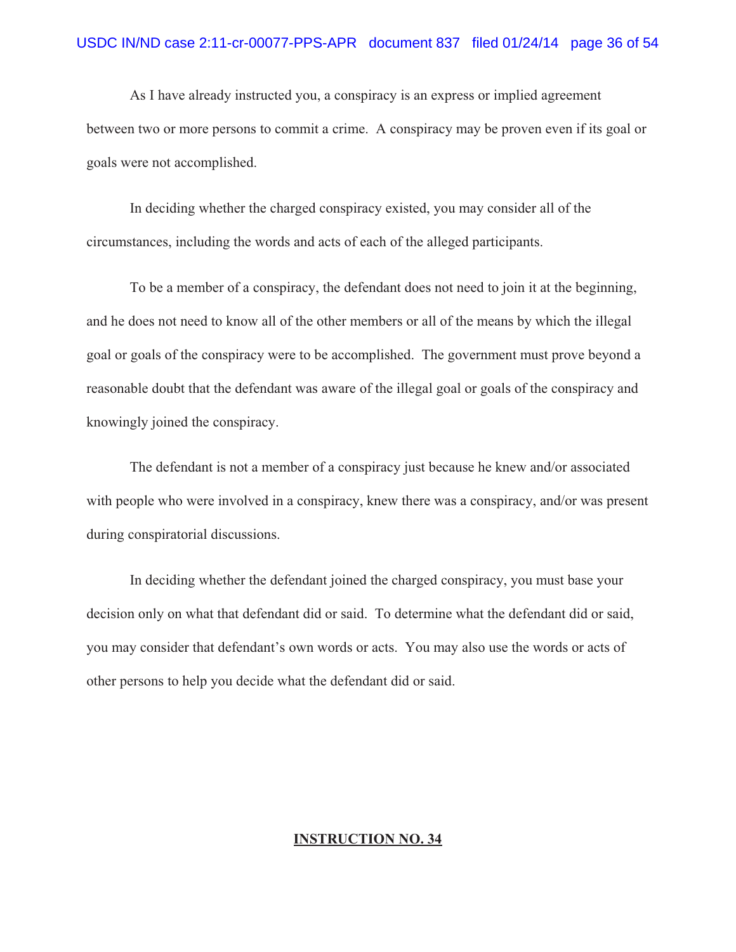As I have already instructed you, a conspiracy is an express or implied agreement between two or more persons to commit a crime. A conspiracy may be proven even if its goal or goals were not accomplished.

In deciding whether the charged conspiracy existed, you may consider all of the circumstances, including the words and acts of each of the alleged participants.

To be a member of a conspiracy, the defendant does not need to join it at the beginning, and he does not need to know all of the other members or all of the means by which the illegal goal or goals of the conspiracy were to be accomplished. The government must prove beyond a reasonable doubt that the defendant was aware of the illegal goal or goals of the conspiracy and knowingly joined the conspiracy.

The defendant is not a member of a conspiracy just because he knew and/or associated with people who were involved in a conspiracy, knew there was a conspiracy, and/or was present during conspiratorial discussions.

In deciding whether the defendant joined the charged conspiracy, you must base your decision only on what that defendant did or said. To determine what the defendant did or said, you may consider that defendant's own words or acts. You may also use the words or acts of other persons to help you decide what the defendant did or said.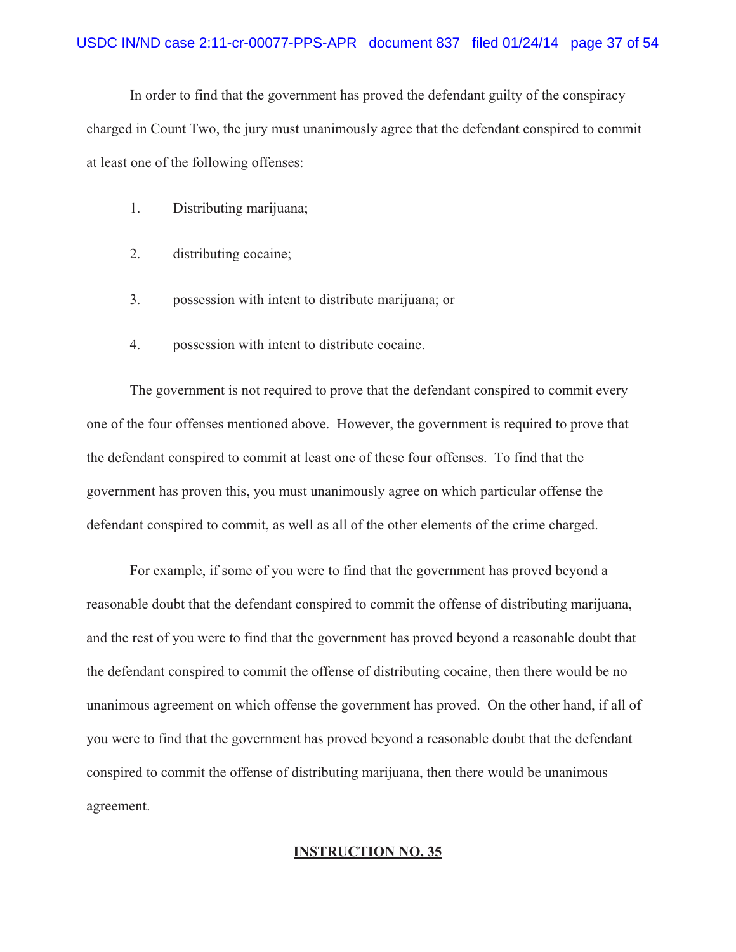In order to find that the government has proved the defendant guilty of the conspiracy charged in Count Two, the jury must unanimously agree that the defendant conspired to commit at least one of the following offenses:

- 1. Distributing marijuana;
- 2. distributing cocaine;
- 3. possession with intent to distribute marijuana; or
- 4. possession with intent to distribute cocaine.

The government is not required to prove that the defendant conspired to commit every one of the four offenses mentioned above. However, the government is required to prove that the defendant conspired to commit at least one of these four offenses. To find that the government has proven this, you must unanimously agree on which particular offense the defendant conspired to commit, as well as all of the other elements of the crime charged.

For example, if some of you were to find that the government has proved beyond a reasonable doubt that the defendant conspired to commit the offense of distributing marijuana, and the rest of you were to find that the government has proved beyond a reasonable doubt that the defendant conspired to commit the offense of distributing cocaine, then there would be no unanimous agreement on which offense the government has proved. On the other hand, if all of you were to find that the government has proved beyond a reasonable doubt that the defendant conspired to commit the offense of distributing marijuana, then there would be unanimous agreement.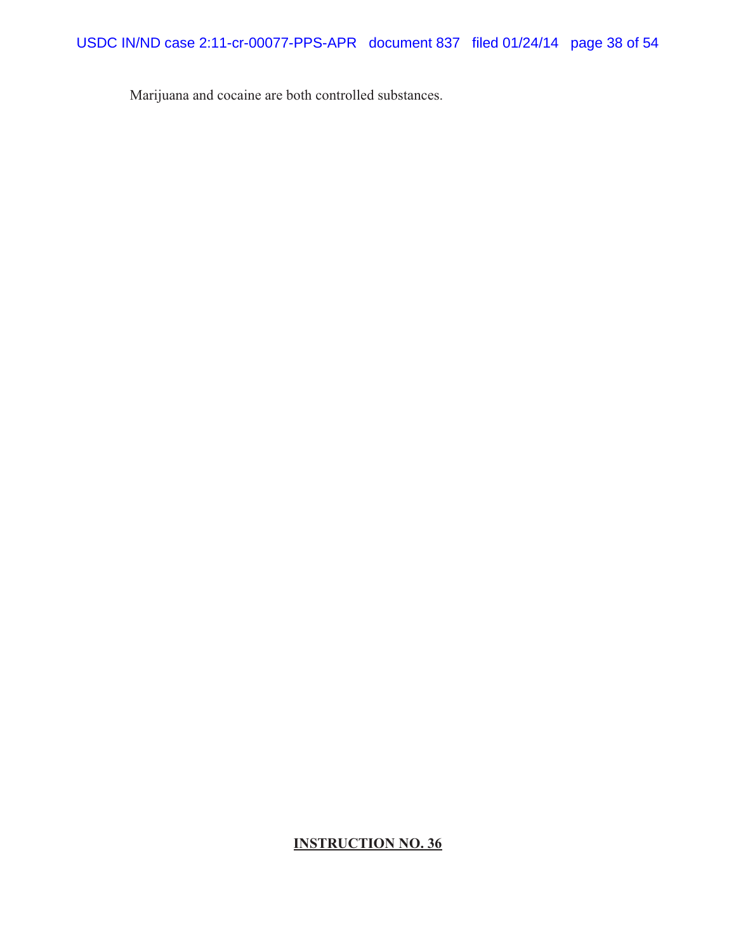Marijuana and cocaine are both controlled substances.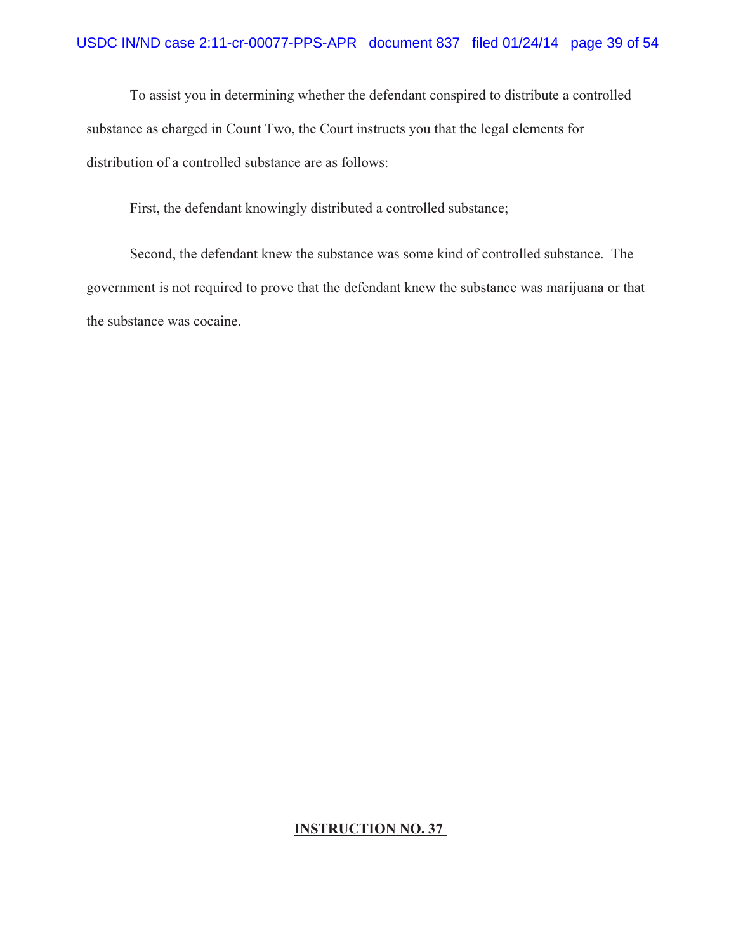To assist you in determining whether the defendant conspired to distribute a controlled substance as charged in Count Two, the Court instructs you that the legal elements for distribution of a controlled substance are as follows:

First, the defendant knowingly distributed a controlled substance;

Second, the defendant knew the substance was some kind of controlled substance. The government is not required to prove that the defendant knew the substance was marijuana or that the substance was cocaine.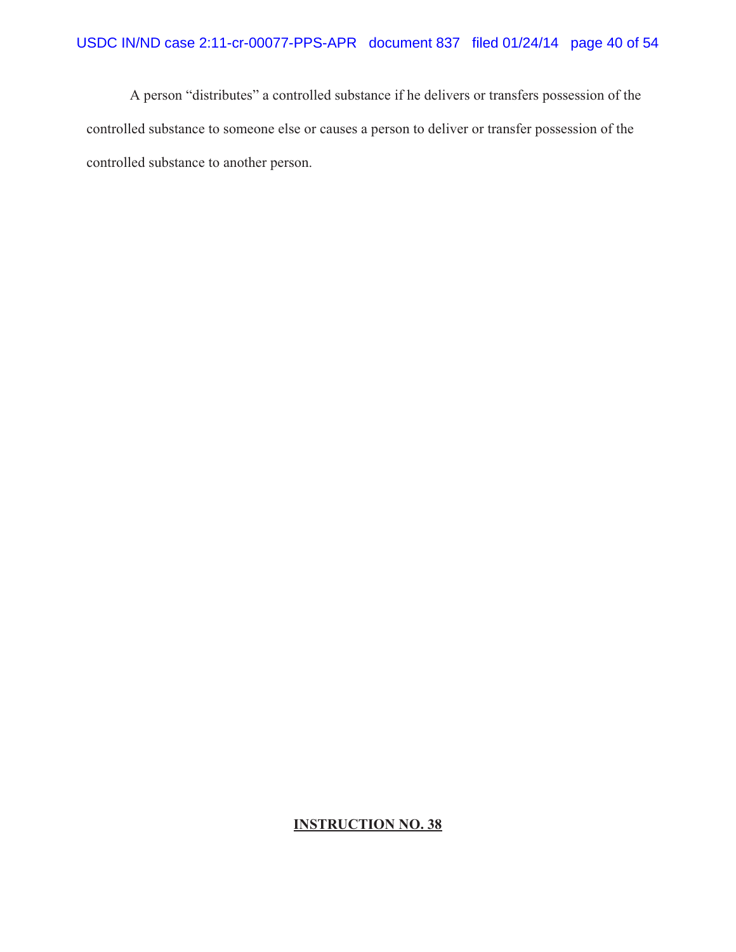A person "distributes" a controlled substance if he delivers or transfers possession of the controlled substance to someone else or causes a person to deliver or transfer possession of the controlled substance to another person.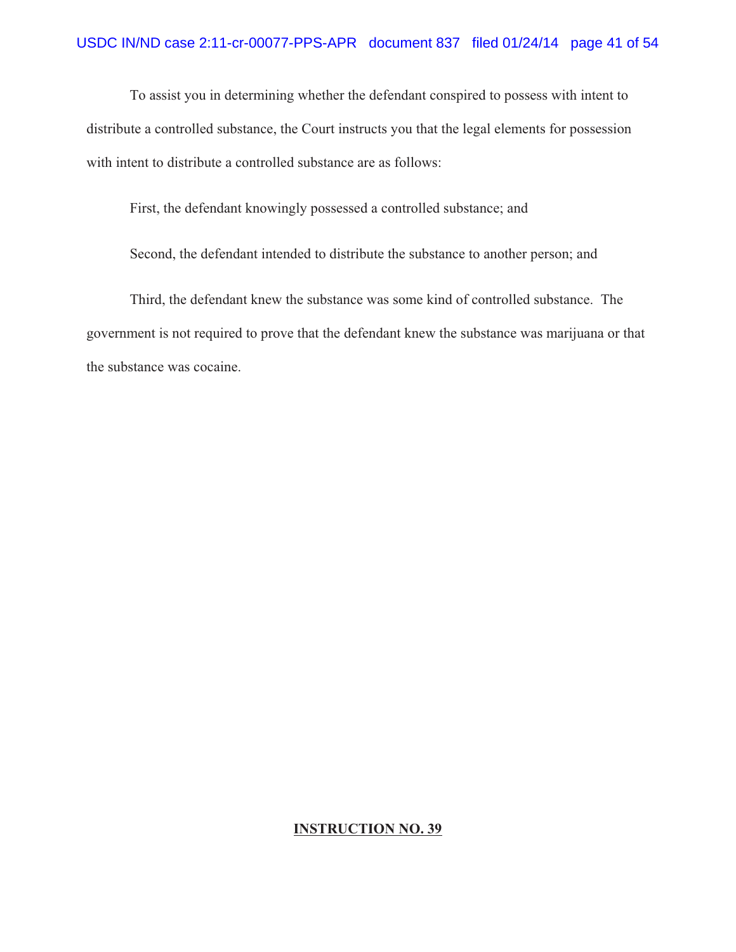To assist you in determining whether the defendant conspired to possess with intent to distribute a controlled substance, the Court instructs you that the legal elements for possession with intent to distribute a controlled substance are as follows:

First, the defendant knowingly possessed a controlled substance; and

Second, the defendant intended to distribute the substance to another person; and

Third, the defendant knew the substance was some kind of controlled substance. The government is not required to prove that the defendant knew the substance was marijuana or that the substance was cocaine.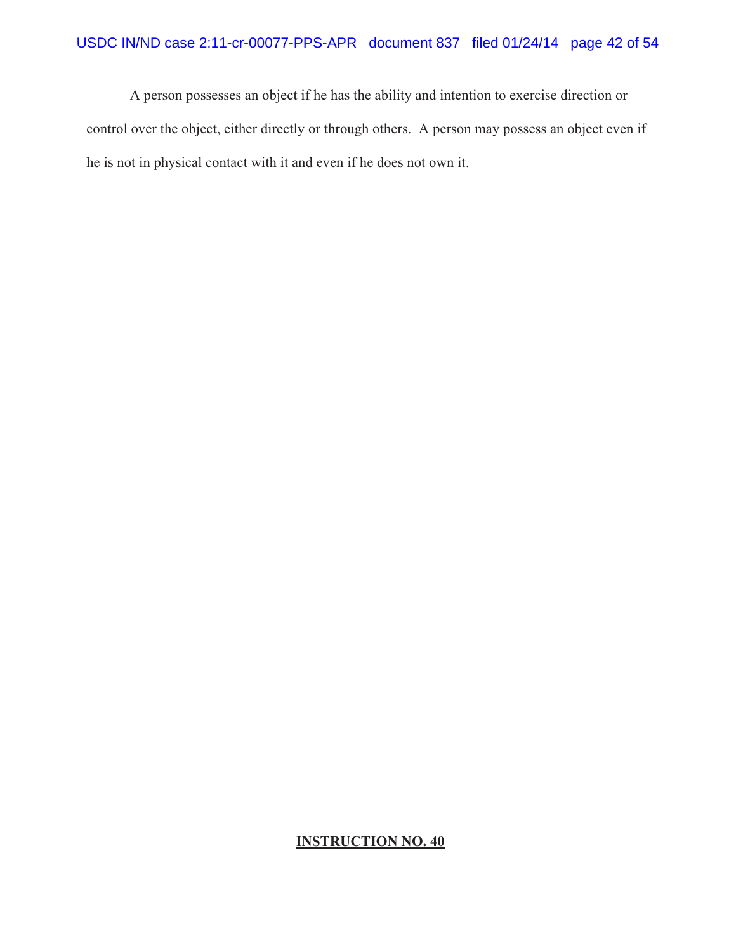A person possesses an object if he has the ability and intention to exercise direction or control over the object, either directly or through others. A person may possess an object even if he is not in physical contact with it and even if he does not own it.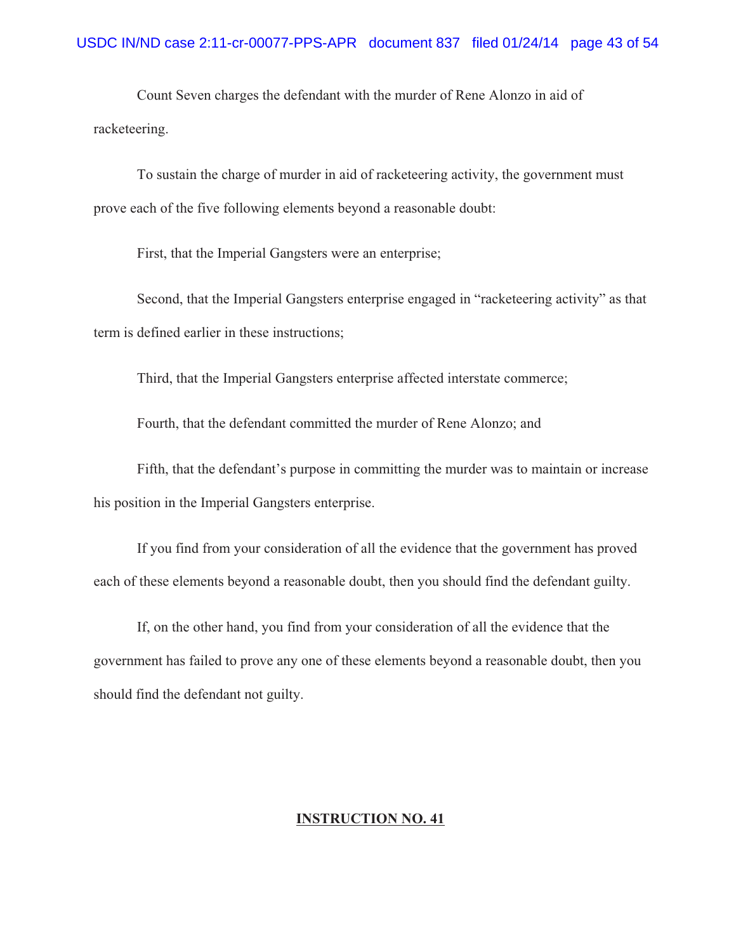Count Seven charges the defendant with the murder of Rene Alonzo in aid of racketeering.

To sustain the charge of murder in aid of racketeering activity, the government must prove each of the five following elements beyond a reasonable doubt:

First, that the Imperial Gangsters were an enterprise;

Second, that the Imperial Gangsters enterprise engaged in "racketeering activity" as that term is defined earlier in these instructions;

Third, that the Imperial Gangsters enterprise affected interstate commerce;

Fourth, that the defendant committed the murder of Rene Alonzo; and

Fifth, that the defendant's purpose in committing the murder was to maintain or increase his position in the Imperial Gangsters enterprise.

If you find from your consideration of all the evidence that the government has proved each of these elements beyond a reasonable doubt, then you should find the defendant guilty.

If, on the other hand, you find from your consideration of all the evidence that the government has failed to prove any one of these elements beyond a reasonable doubt, then you should find the defendant not guilty.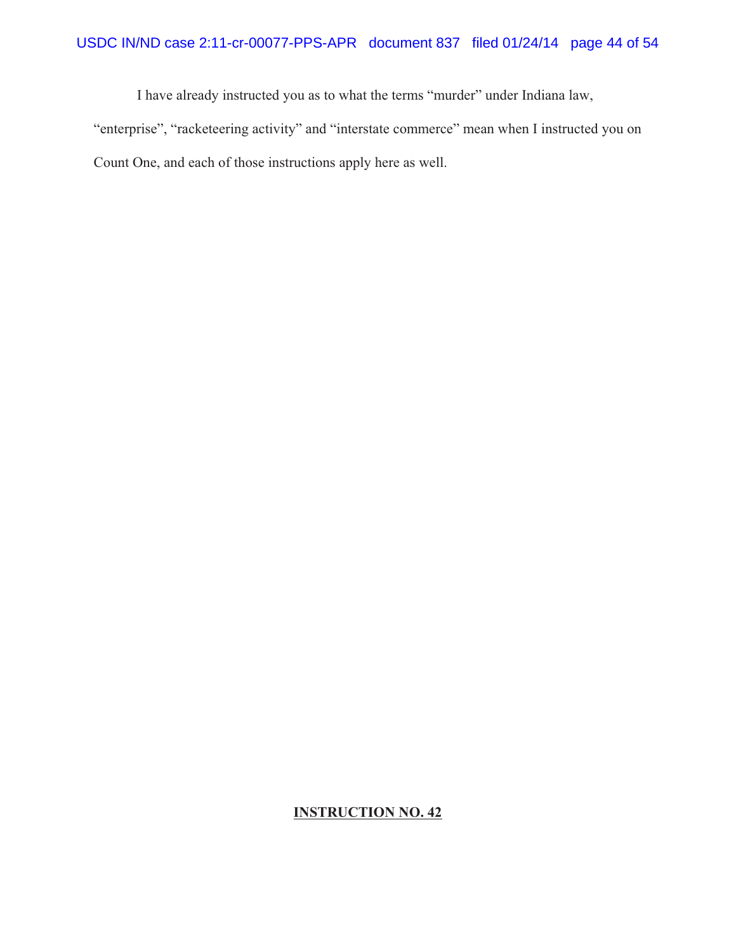I have already instructed you as to what the terms "murder" under Indiana law, "enterprise", "racketeering activity" and "interstate commerce" mean when I instructed you on Count One, and each of those instructions apply here as well.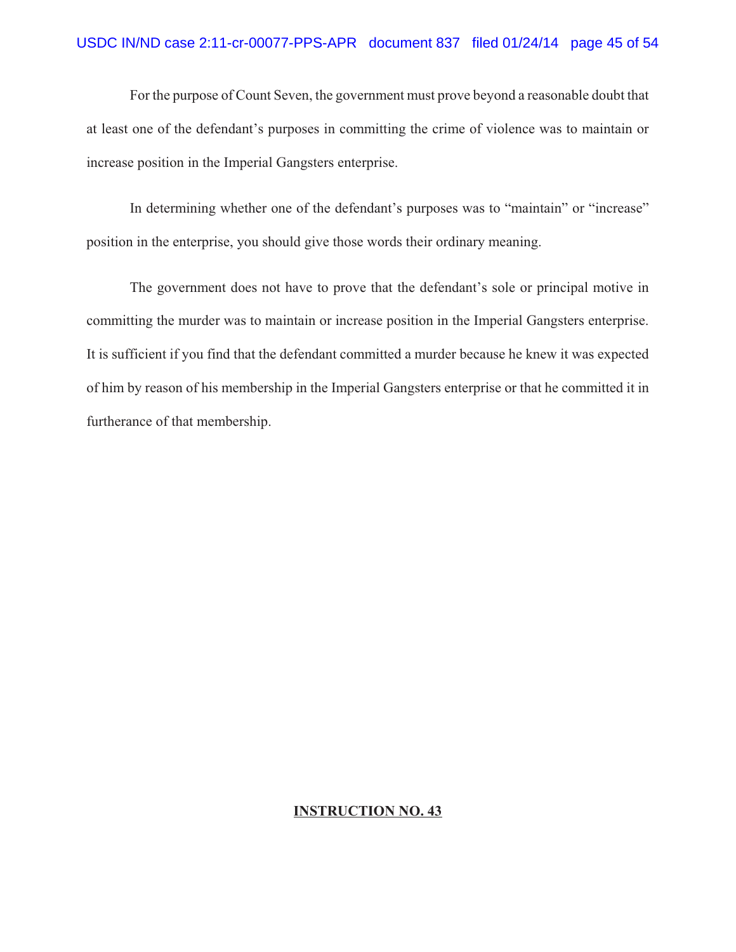For the purpose of Count Seven, the government must prove beyond a reasonable doubt that at least one of the defendant's purposes in committing the crime of violence was to maintain or increase position in the Imperial Gangsters enterprise.

In determining whether one of the defendant's purposes was to "maintain" or "increase" position in the enterprise, you should give those words their ordinary meaning.

The government does not have to prove that the defendant's sole or principal motive in committing the murder was to maintain or increase position in the Imperial Gangsters enterprise. It is sufficient if you find that the defendant committed a murder because he knew it was expected of him by reason of his membership in the Imperial Gangsters enterprise or that he committed it in furtherance of that membership.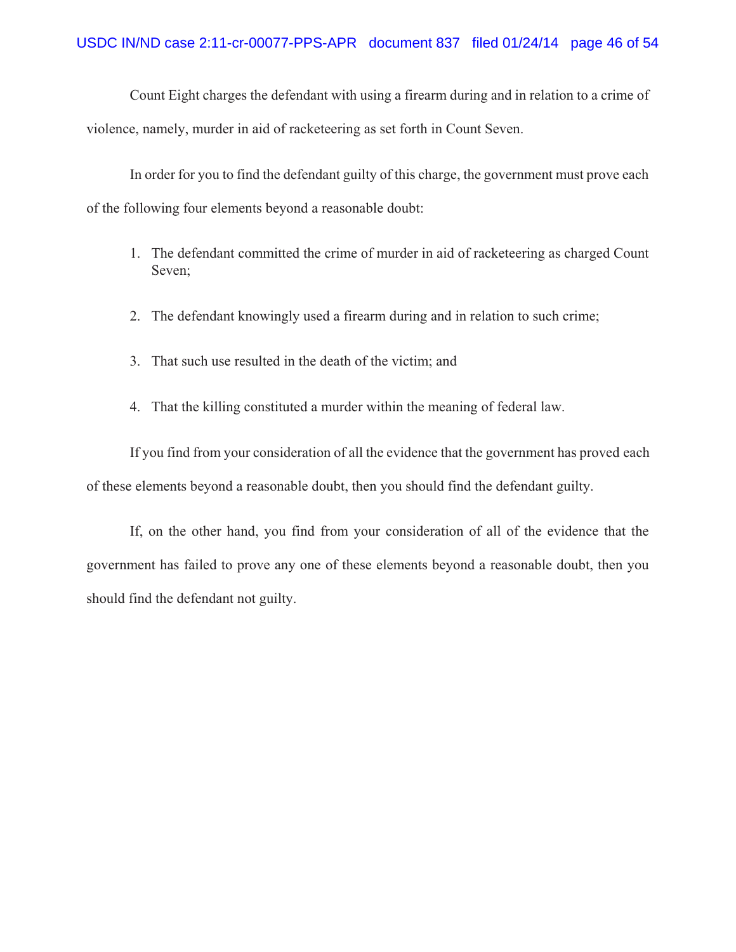Count Eight charges the defendant with using a firearm during and in relation to a crime of violence, namely, murder in aid of racketeering as set forth in Count Seven.

In order for you to find the defendant guilty of this charge, the government must prove each of the following four elements beyond a reasonable doubt:

- 1. The defendant committed the crime of murder in aid of racketeering as charged Count Seven;
- 2. The defendant knowingly used a firearm during and in relation to such crime;
- 3. That such use resulted in the death of the victim; and
- 4. That the killing constituted a murder within the meaning of federal law.

 If you find from your consideration of all the evidence that the government has proved each of these elements beyond a reasonable doubt, then you should find the defendant guilty.

If, on the other hand, you find from your consideration of all of the evidence that the government has failed to prove any one of these elements beyond a reasonable doubt, then you should find the defendant not guilty.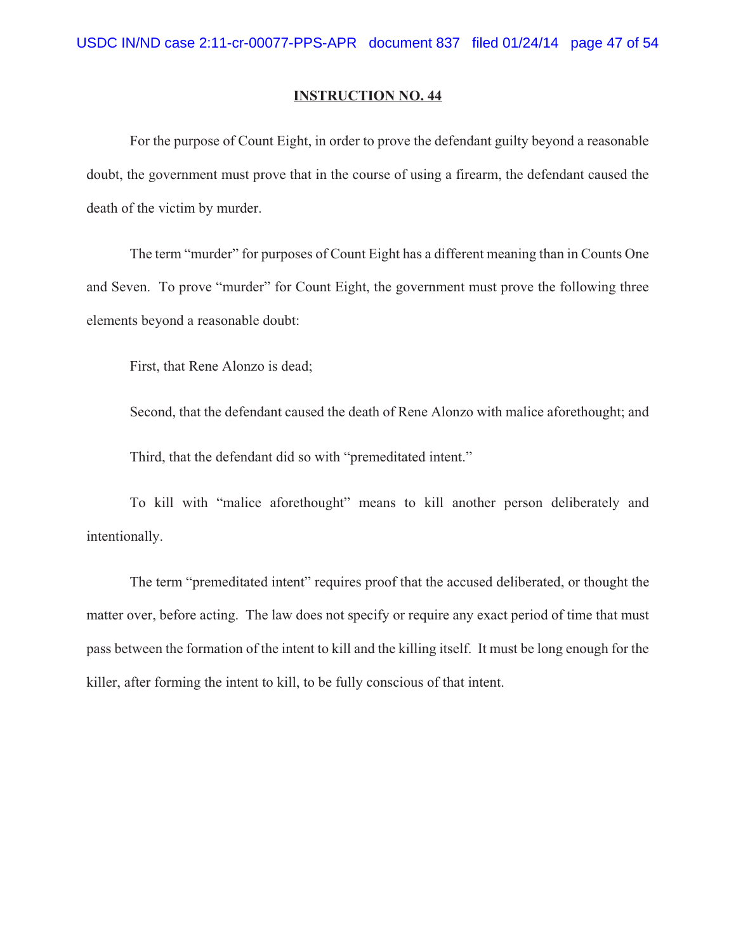For the purpose of Count Eight, in order to prove the defendant guilty beyond a reasonable doubt, the government must prove that in the course of using a firearm, the defendant caused the death of the victim by murder.

The term "murder" for purposes of Count Eight has a different meaning than in Counts One and Seven. To prove "murder" for Count Eight, the government must prove the following three elements beyond a reasonable doubt:

First, that Rene Alonzo is dead;

Second, that the defendant caused the death of Rene Alonzo with malice aforethought; and Third, that the defendant did so with "premeditated intent."

To kill with "malice aforethought" means to kill another person deliberately and intentionally.

The term "premeditated intent" requires proof that the accused deliberated, or thought the matter over, before acting. The law does not specify or require any exact period of time that must pass between the formation of the intent to kill and the killing itself. It must be long enough for the killer, after forming the intent to kill, to be fully conscious of that intent.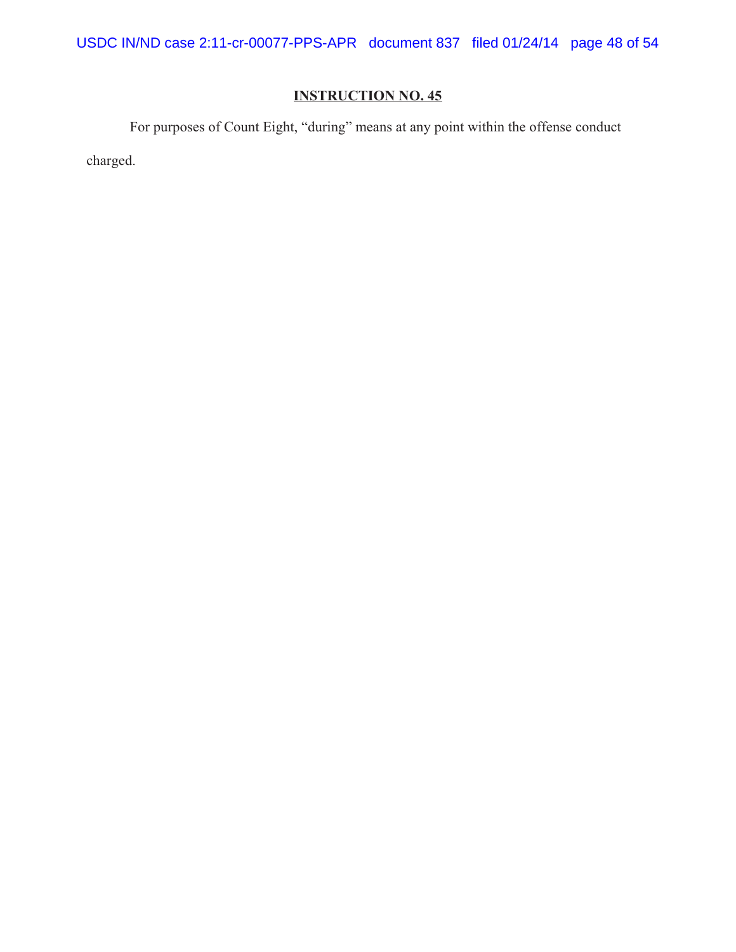USDC IN/ND case 2:11-cr-00077-PPS-APR document 837 filed 01/24/14 page 48 of 54

# **INSTRUCTION NO. 45**

For purposes of Count Eight, "during" means at any point within the offense conduct

charged.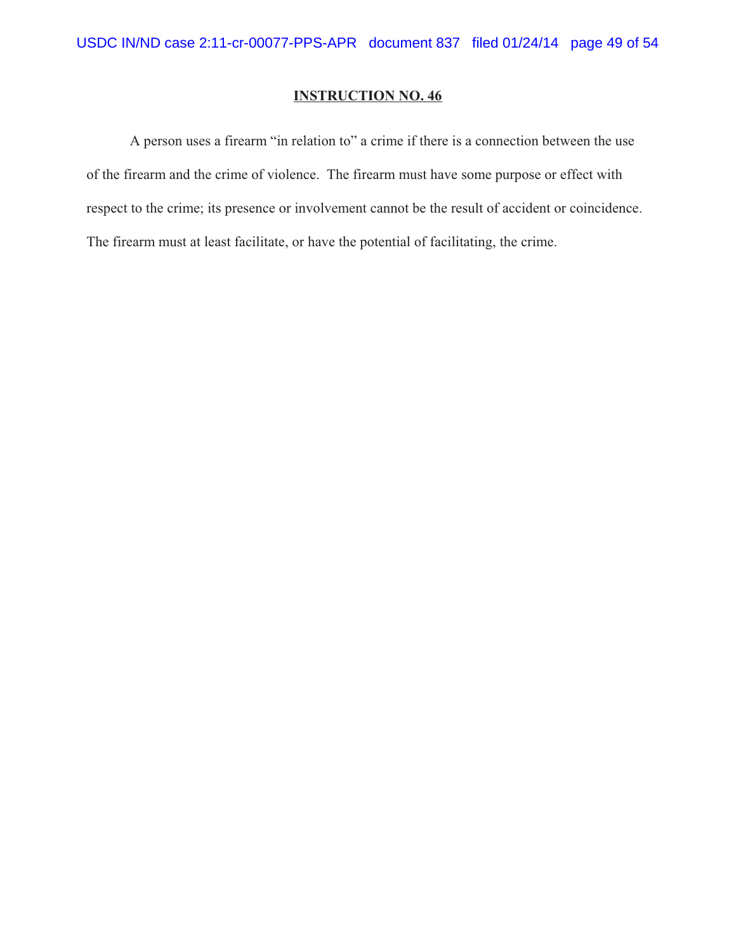A person uses a firearm "in relation to" a crime if there is a connection between the use of the firearm and the crime of violence. The firearm must have some purpose or effect with respect to the crime; its presence or involvement cannot be the result of accident or coincidence. The firearm must at least facilitate, or have the potential of facilitating, the crime.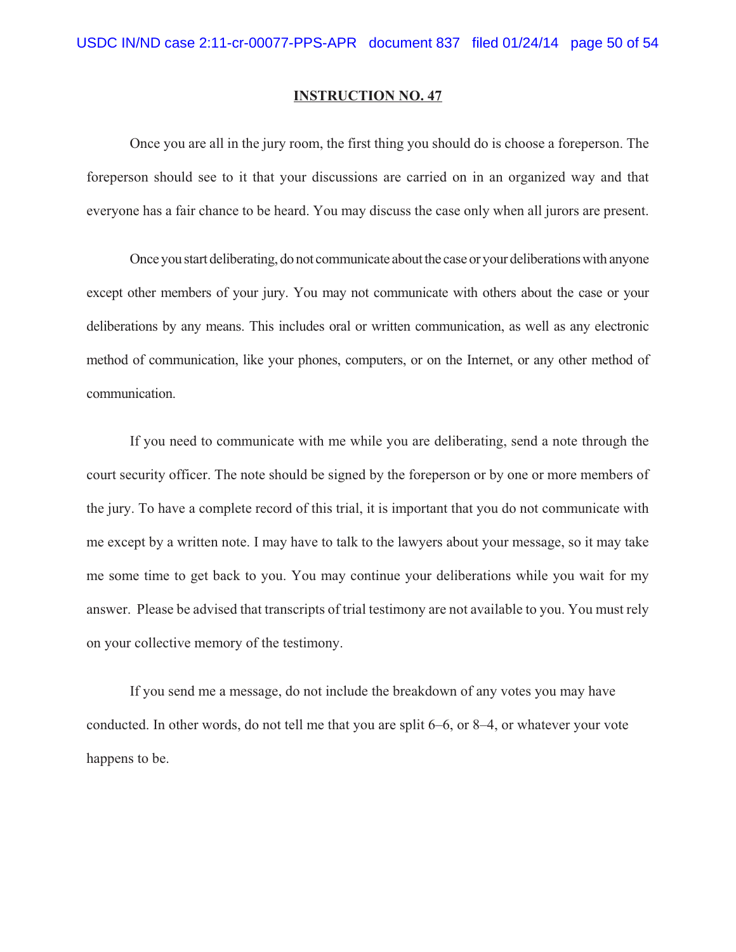Once you are all in the jury room, the first thing you should do is choose a foreperson. The foreperson should see to it that your discussions are carried on in an organized way and that everyone has a fair chance to be heard. You may discuss the case only when all jurors are present.

Once you start deliberating, do not communicate about the case or your deliberations with anyone except other members of your jury. You may not communicate with others about the case or your deliberations by any means. This includes oral or written communication, as well as any electronic method of communication, like your phones, computers, or on the Internet, or any other method of communication.

If you need to communicate with me while you are deliberating, send a note through the court security officer. The note should be signed by the foreperson or by one or more members of the jury. To have a complete record of this trial, it is important that you do not communicate with me except by a written note. I may have to talk to the lawyers about your message, so it may take me some time to get back to you. You may continue your deliberations while you wait for my answer. Please be advised that transcripts of trial testimony are not available to you. You must rely on your collective memory of the testimony.

If you send me a message, do not include the breakdown of any votes you may have conducted. In other words, do not tell me that you are split 6–6, or 8–4, or whatever your vote happens to be.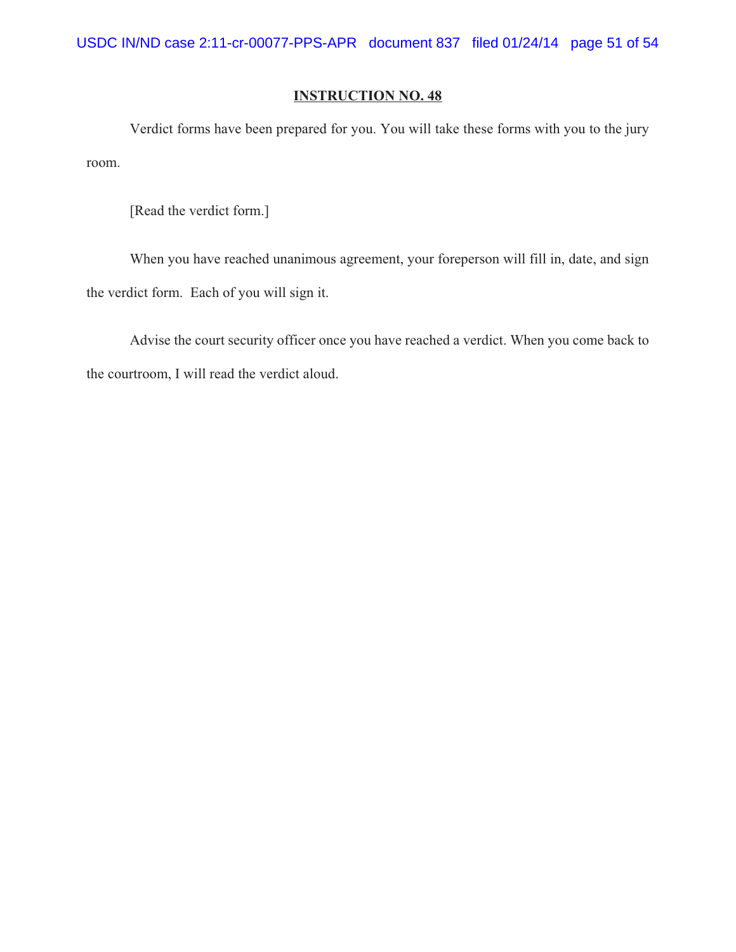Verdict forms have been prepared for you. You will take these forms with you to the jury room.

[Read the verdict form.]

When you have reached unanimous agreement, your foreperson will fill in, date, and sign the verdict form. Each of you will sign it.

Advise the court security officer once you have reached a verdict. When you come back to the courtroom, I will read the verdict aloud.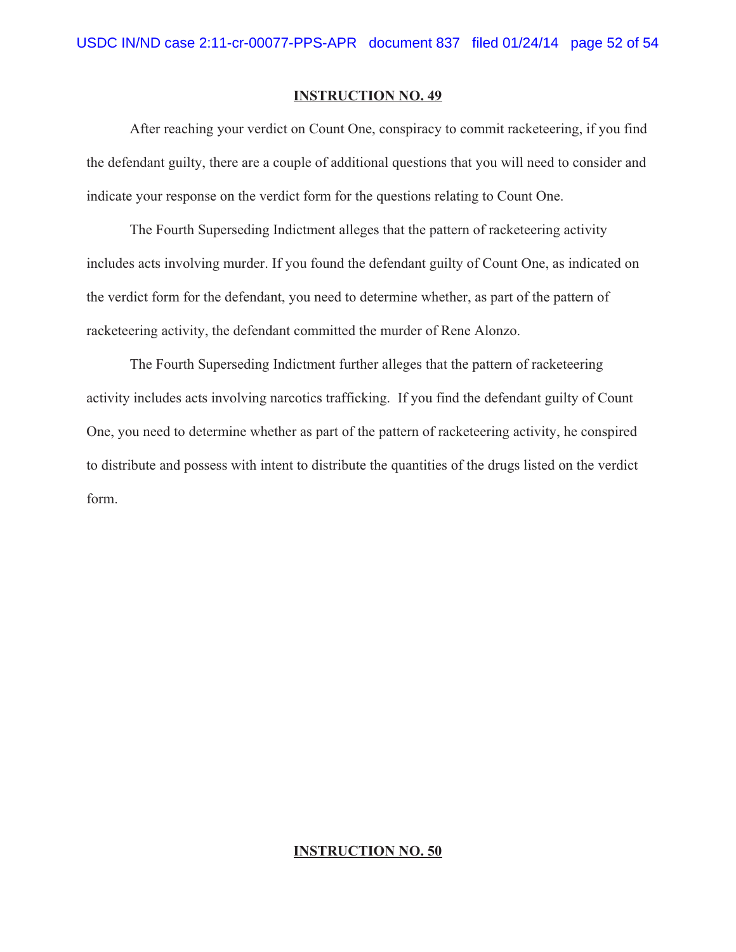After reaching your verdict on Count One, conspiracy to commit racketeering, if you find the defendant guilty, there are a couple of additional questions that you will need to consider and indicate your response on the verdict form for the questions relating to Count One.

The Fourth Superseding Indictment alleges that the pattern of racketeering activity includes acts involving murder. If you found the defendant guilty of Count One, as indicated on the verdict form for the defendant, you need to determine whether, as part of the pattern of racketeering activity, the defendant committed the murder of Rene Alonzo.

The Fourth Superseding Indictment further alleges that the pattern of racketeering activity includes acts involving narcotics trafficking. If you find the defendant guilty of Count One, you need to determine whether as part of the pattern of racketeering activity, he conspired to distribute and possess with intent to distribute the quantities of the drugs listed on the verdict form.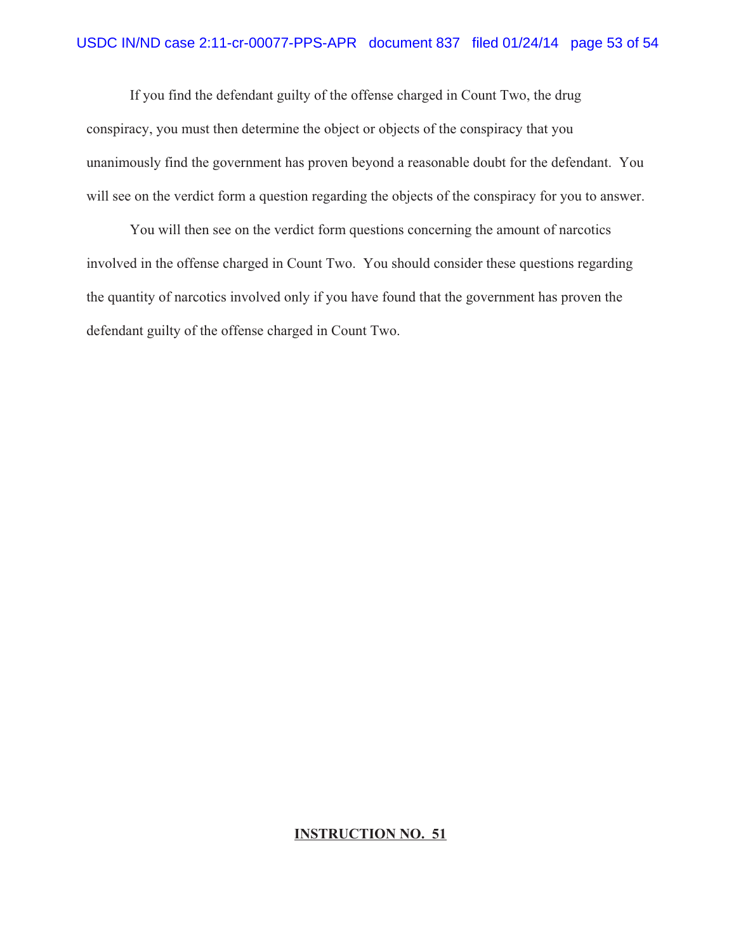If you find the defendant guilty of the offense charged in Count Two, the drug conspiracy, you must then determine the object or objects of the conspiracy that you unanimously find the government has proven beyond a reasonable doubt for the defendant. You will see on the verdict form a question regarding the objects of the conspiracy for you to answer.

You will then see on the verdict form questions concerning the amount of narcotics involved in the offense charged in Count Two. You should consider these questions regarding the quantity of narcotics involved only if you have found that the government has proven the defendant guilty of the offense charged in Count Two.